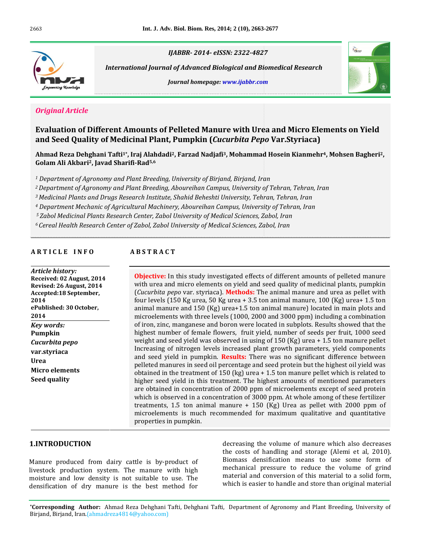

**Evaluation** 

 *Journal of Advanced Biological and Biomedical Research homepage: www.ijabbr.com*





### *<u>Original Article</u>*

 **of Different Amounts of Pelleted Manure with Urea and Micro Elements on Yield Seed Quality of Medicinal Plant, Pumpkin (***Cucurbita Pepo* **Var.Styriaca)** Evaluation of Different Amounts of Pelleted Manure with Urea and Micro Elen<br>and Seed Quality of Medicinal Plant, Pumpkin (*Cucurbita Pene Var Styriaca*) Evaluation of Different Amounts of Pelleted Manure with Urea and Micro Elements on Yield<br>and Seed Quality of Medicinal Plant, Pumpkin (*Cucurbita Pepo* Var.Styriaca)<br>Ahmad Reza Dehghani Tafti<sup>1</sup>\*. Irai Alahdadi<sup>2</sup>. Farzad

e<mark>ed Quality of Medicinal Plant, I</mark><br>| Reza Dehghani Tafti<sup>1</sup>\*, Iraj Alahdadi<sup>2</sup>,<br>Ali Akbari<sup>2</sup>, Iavad Sharifi-Rad<sup>5,6</sup> *1 Department*Ahmad Reza Dehghani Tafti<sup>1</sup>\*, Iraj Alahdadi<sup>2</sup>, Farzad Nadjafi<sup>3</sup>, Mohammad Hosein Kianmehr<sup>4</sup>, Mohsen Bagheri<sup>2</sup>, *2Departmentof Agronomy and Plant Breeding, Aboureihan Campus, University of Tehran, Tehran, Iran*

<sup>1</sup> Department of Agronomy and Plant Breeding, University of Birjand, Birjand, Iran

*International*

 *Plants and Drugs Research Institute, Shahid Beheshti University, Tehran, Tehran, Iran 4Department Mechanic ofAgricultural Machinery, Aboureihan Campus, University of Tehran, Iran*

*5*

Department of Agronomy ana Plant Breeaing, Aboureinan Campus, University of Tenran, Tenran, 1<br>Medicinal Plants and Drugs Research Institute, Shahid Beheshti University, Tehran, Tehran, Iran<br>Department Mechanic of Agricultu *6Cepartment Mechanic of Agricultural Machinery, Aboureihan Campus, University of Tehran, Iran*<br>*Zabol Medicinal Plants Research Center, Zabol University of Medical Sciences, Zabol, Iran<br>Cereal Health Research Center of Zab* 

**A <sup>R</sup> <sup>T</sup> <sup>I</sup> <sup>C</sup> <sup>L</sup> <sup>E</sup> <sup>I</sup> <sup>N</sup> <sup>F</sup> <sup>O</sup> <sup>A</sup> <sup>B</sup> <sup>S</sup> <sup>T</sup> <sup>R</sup> <sup>A</sup> <sup>C</sup> <sup>T</sup>**

# *Article history:* **Received:**

**22 August**<br> **12 August,** 2014 **Revised:***260ry:***<br>12 August, 2014<br>26 August, 2014 Article history:** *Article history:*<br>Received: 02 August, 2014<br>Revised: 26 August, 2014<br>Accepted:18 September. **Revised: 26 August, 2014 Accepted:18 September, 2014** *k*<br>plished: 30 O<br>*words:* **ePublishe** 2014 *pepo* **Kev** words: **Pumpkin** Cucurbita pepo *nta pepo*<br>rriaca<br>elements var.styriaca<br>Urea tyriaca<br>p elements<br>qualitv

### **ABSTRACT**

(*Cucurbita*

microelements is much recommended for maximum qualitative and quantitative the volume of manure which also decreases the In this study investigated effects of different amounts of pelleted manure or a set and miss study investigated effects of different amounts of pelleted manure<br>Later and micro elements on vield and seed quality of medicinal plants, pumpkin In this study investigated effects of different amounts of pelleted manure and micro elements on yield and seed quality of medicinal plants, pumpkin pepo var. styriaca). **Methods:** The animal manure and urea as pellet with Obie **ctive:** In this study investigated effects of different amounts of pelleted manure urea and micro elements on yield and seed quality of medicinal plants, pumpkin *urbita pepo var.* styriaca). **Methods:** The animal manure with urea and micro elements on yield and seed quality of medicinal plants, pumpkin<br>(*Cucurbita pepo* var. styriaca). **Methods:** The animal manure and urea as pellet with<br>four levels (150 Kg urea, 50 Kg urea + 3.5 ton anim (Cucurbita pepo var. styriaca). Methods: The animal manure and urea as pellet with where is tyriaca). **Methods:** The animal manure and urea as pellet with  $\log$  urea, 50 Kg urea + 3.5 ton animal manure, 100 (Kg) urea + 1.5 ton and 150 (Kg) urea + 1.5 ton animal manure) located in main plots and with thre four levels (150 Kg urea, 50 Kg urea + 3.5 ton animal manure, 100 (Kg) urea+ 1.5 ton<br>animal manure and 150 (Kg) urea+1.5 ton animal manure) located in main plots and<br>microelements with three levels (1000, 2000 and 3000 ppm animal manure and 150 (Kg) urea+1.5 ton animal manure) located in main plots and<br>microelements with three levels (1000, 2000 and 3000 ppm) including a combination<br>of iron, zinc, manganese and boron were located in subplots microelements with three levels (1000, 2000 and 3000 ppm) including a combination ements with three levels (1000, 2000 and 3000 ppm) including a combination<br>zinc, manganese and boron were located in subplots. Results showed that the<br>number of female flowers, fruit yield, number of seeds per fruit, 1000 of iron, zinc, manganese and boron were located in subplots. Results showed that the c, manganese and boron were located in subplots. Results showed that the<br>mber of female flowers, fruit yield, number of seeds per fruit, 1000 seed<br>seed yield was observed in using of 150 (Kg) urea + 1.5 ton manure pellet<br>o high est number of female flowers, fruit yield, number of seeds per fruit, 1000 seed<br>ht and seed yield was observed in using of 150 (Kg) urea + 1.5 ton manure pellet<br>easing of nitrogen levels increased plant growth parameters, weight and seed yield was observed in using of 150 (Kg) urea + 1.5 ton manure pellet<br>Increasing of nitrogen levels increased plant growth parameters, yield components<br>and seed yield in pumpkin. **Results:** There was no sign Increasing of nitrogen levels increased plant growth parameters, yield components<br>and seed yield in pumpkin. **Results:** There was no significant difference between<br>pelleted manures in seed oil percentage and seed protein b and seed yield in pumpkin. **Results:** There was no significant difference between<br>pelleted manures in seed oil percentage and seed protein but the highest oil yield was<br>obtained in the treatment of 150 (kg) urea + 1.5 ton pelleted manures in seed oil percentage and seed protein but the highest oil yield was eted manures in seed oil percentage and seed protein but the highest oil yield was<br>iined in the treatment of 150 (kg) urea + 1.5 ton manure pellet which is related to<br>ier seed yield in this treatment. The highest amounts o obtained in the treatment of 150 (kg) urea  $+$  1.5 ton manure pellet which is related to ed in the treatment of 150 (kg) urea + 1.5 ton manure pellet which is related to<br>seed yield in this treatment. The highest amounts of mentioned parameters<br>tained in concentration of 2000 ppm of microelements except of seed higher seed yield in this treatment. The highest amounts of mentioned parameters<br>
1.5 ton animal manure + 150 (Kg) Urea as pellet with 2000 ppm of<br>
1.5 ton animal manure + 150 (Kg) Urea as pellet with 2000 ppm of are obtained in concentration of 2000 ppm of microelements except of seed protein concentration of 2000 ppm of microelements except of seed protein<br>ed in a concentration of 3000 ppm. At whole among of these fertilizer<br>ton animal manure  $+ 150$  (Kg) Urea as pellet with 2000 ppm of<br>is much recommended fo which is observed in a contreatments, 1.5 ton anima<br>microelements is much r<br>properties in pumpkin.

#### 1.INTRODUCTION

**densification o DDUCTION**<br>produced from dairy cattle is by-product of d<br>t t<br>roduced from dairy cattle is by-product of the<br>production system. The manure with high roduced from dairy cattle is by-product of<br>production system. The manure with high<br>and low density is not suitable to use. The Manure produced from dairy cattle is by-product of<br>livestock production system. The manure with high<br>moisture and low density is not suitable to use. The<br>densification of dry manure is the best method for

decreasing the volume of manure which also decreases<br>the costs of handling and storage (Alemi et al. 2010). g the volume of manure which also decreases<br>of handling and storage (Alemi et al, 2010).<br>densification means to use some form of decreasing he volume of manure which also decreases<br>handling and storage (Alemi et al, 2010).<br>nsification means to use some form of<br>pressure to reduce the volume of grind the cost the costs of handling and storage (Alemi et al, 2010).<br>Biomass densification means to use some form of<br>mechanical pressure to reduce the volume of grind<br>material and conversion of this material to a solid form. is densification means to use some form of<br>mical pressure to reduce the volume of grind<br>al and conversion of this material to a solid form,<br>is easier to handle and store than original material

dry manure is the best method for which is easier to handle and store than original material<br>**Author:** Ahmad Reza Dehghani Tafti, Dehghani Tafti, Department of Agronomy and Plant Breeding, University of **birding Author:** Ahmad Reza Dehghani Tafti, I<br>Biriand, Iran.(ahmadreza4814@yahoo.com)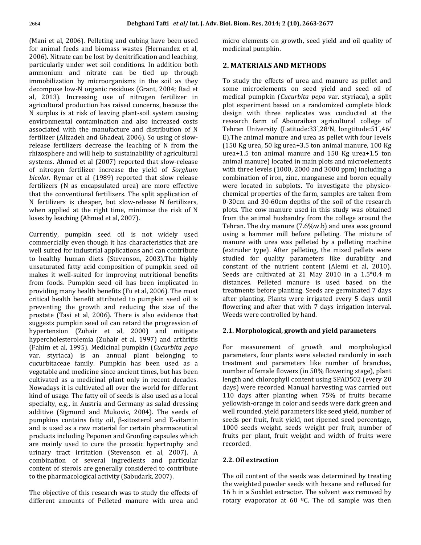**Dehghani Tafti** et al/ Int. J. Adv. Bi<br>et al. 2006). Pelleting and cubing have been used n **Dehghani Tafti et al/ Int. J. A**<br>(Mani et al, 2006). Pelleting and cubing have been used<br>for animal feeds and biomass wastes (Hernandez et al. (Mani et al, 2006). Pelleting and cubing have been used<br>for animal feeds and biomass wastes (Hernandez et al,<br>2006). Nitrate can be lost by denitrification and leaching. 2006). Pelleting and cubing have been used<br>eeds and biomass wastes (Hernandez et al, m<br>te can be lost by denitrification and leaching,<br>under wet soil conditions. In addition both 2 for animal feeds and biomass wastes (Hernandez et al, eds and biomass wastes (Hernandez et al,<br>
e can be lost by denitrification and leaching,<br>
ender wet soil conditions. In addition both<br>
and nitrate can be tied up through 2006). Nitrate can be lost by denitrification and leaching,<br>particularly under wet soil conditions. In addition both<br>ammonium and nitrate can be tied up through<br>immobilization by microorganisms in the soil as they particularly under wet soil conditions. In addition both<br>ammonium and nitrate can be tied up through<br>immobilization by microorganisms in the soil as they<br>decompose low-N organic residues (Grant, 2004; Rad et ammonium and nitrate can be tied up through monium and nitrate can be tied up through<br>
1 nobilization by microorganisms in the soil as they<br>
2013). Increasing use of nitrogen fertilizer in the n immobilization by microorganisms in the soil as they<br>decompose low-N organic residues (Grant, 2004; Rad et<br>al, 2013). Increasing use of nitrogen fertilizer in<br>agricultural production has raised concerns, because the decompose low-N organic residues (Grant, 2004; Rad et compose low-N organic residues (Grant, 2004; Rad et 2013). Increasing use of nitrogen fertilizer in ricultural production has raised concerns, because the surplus is at risk of leaving plant-soil system causing al, 2013). In reasing use of nitrogen fertilizer in<br>duction has raised concerns, because the<br>risk of leaving plant-soil system causing<br>contamination and also increased costs agricultural production has raised concerns, because the production has raised concerns, because the plot plots at risk of leaving plant-soil system causing desired that distribution of N and the manufacture and distribution of N Telement of  $\mu$ N surplus is at risk of leaving plant-soil system causing<br>environmental contamination and also increased costs<br>associated with the manufacture and distribution of N<br>fertilizer (Alizadeh and Ghadeai, 2006). So using of slow environmental contamination and also increased costs associated with the manufacture and distribution of N<br>fertilizer (Alizadeh and Ghadeai, 2006). So using of slow-<br>release fertilizers decrease the leaching of N from the<br>rhizosphere and will help to sustainability of agricu fertilizer (Alizadeh and Ghadeai, 2006). So using of slow-(Alizadeh and Ghadeai, 2006). So using of slow-<br>ertilizers decrease the leaching of N from the<br>ere and will help to sustainability of agricultural<br>Ahmed et al (2007) reported that slow-release release fertilizers decrease the leaching of N from the rease fertilizers decrease the leaching of *N* from the (150 cosphere and will help to sustainability of agricultural ureaterns. Ahmed et al (2007) reported that slow-release animation in the vield of *Sorghum* with *bicolor*.ere and will help to sustainability of agricultural<br>Ahmed et al (2007) reported that slow-release<br>gen fertilizer increase the yield of *Sorghum*<br>Rymar et al (1989) reported that slow release systems. Ahmed et al (2007) reported that slow-release hmed et al (2007) reported that slow-release<br>n fertilizer increase the yield of *Sorghum*<br>mar et al (1989) reported that slow release<br>(N as encapsulated urea) are more effective of nitrogen fertilizer increase the yield of *Sorghum*<br>*bicolor*. Rymar et al (1989) reported that slow release<br>fertilizers (N as encapsulated urea) are more effective<br>that the conventional fertilizers. The split applicati bicolor. Rymar et al (1989) reported that slow release *bicolor*. Rymar et al (1989) reported that slow release fertilizers (N as encapsulated urea) are more effective that the conventional fertilizers. The split application of N fertilizers is cheaper, but slow-release N fert ers (N as encapsulated urea) are more effective<br>
in the conventional fertilizers. The split application of che<br>
ilizers is cheaper, but slow-release N fertilizers, 0-3<br>
applied at the right time, minimize the risk of N plo that the conventional fertilizers. The spl<br>N fertilizers is cheaper, but slow-relea<br>when applied at the right time, minimiz<br>loses by leaching (Ahmed et al. 2007). when applied at the right time, minimize the risk of N loses by leaching (Ahmed et al, 2007).

ng (Ahmed et al, 2007).<br>umpkin seed oil is not widely used<br>even though it has characteristics that are ently, pumpkin seed oil is not widely used<br>nercially-even-though-it-has-characteristics-that-are<br>suited-for-industrial-applications-and-can-contribute Currently, pumpkin seed oil is not widely used<br>commercially even though it has characteristics that are<br>well suited for industrial applications and can contribute<br>to healthy human diets (Stevenson, 2003).The highly commercially even though it has characteristics that are<br>well suited for industrial applications and can contribute<br>to healthy human diets (Stevenson, 2003).The highly<br>unsaturated fatty acid composition of pumpkin seed oil well suited for industrial applications and can contribute ited for industrial applications and can contribute<br>thy human diets (Stevenson, 2003).The highly<br>ated fatty acid composition of pumpkin seed oil<br>it well-suited for improving nutritional benefits to healthy human diets (Stevenson, 2003).The highly<br>unsaturated fatty acid composition of pumpkin seed oil c<br>makes it well-suited for improving nutritional benefits S<br>from foods. Pumpkin seed oil has been implicated in d unsaturated fatty acid composition of pumpkin seed oil ed fatty acid composition of pumpkin seed oil<br>well-suited for improving nutritional benefits<br>is. Pumpkin seed oil has been implicated in<br>many health benefits (Fu et al. 2006). The most makes it well-suited for improving nutritional benefits it well-suited for improving nutritional benefits<br>ods. Pumpkin seed oil has been implicated in<br>ng many health benefits (Fu et al, 2006). The most<br>health benefit attributed to pumpkin seed oil is from foods. Pumpkin seed oil has been implicated in<br>providing many health benefits (Fu et al, 2006). The most<br>critical health benefit attributed to pumpkin seed oil is<br>preventing the growth and reducing the size of the providing many health benefits (Fu et al, 2006). The most<br>critical health benefit attributed to pumpkin seed oil is<br>preventing the growth and reducing the size of the<br>prostate (Tasi et al. 2006). There is also evidence tha critical health benefit attributed to pumpkin seed oil is<br>preventing the growth and reducing the size of the<br>prostate (Tasi et al, 2006). There is also evidence that<br>suggests pumpkin seed oil can retard the progression of preventing the growth and reducing the size of the<br>prostate (Tasi et al, 2006). There is also evidence that<br>suggests pumpkin seed oil can retard the progression of<br>hypertension (Zuhair et al. 2000) and mitigate prostate (Tasi et al, 2006). There is also evidence that<br>suggests pumpkin seed oil can retard the progression of<br>hypertension (Zuhair et al, 2000) and mitigate<br>hypercholesterolemia (Zuhair et al. 1997) and arthritis suggests pumpkin seed oil can retard the progression of et al, 2000) spumpkin seed oil can retard the progression of<br>
msion (*Zuhair et al, 2000*) and mitigate<br>
olesterolemia (*Zuhair et al, 1997*) and arthritis<br>
et al. 1995). Medicinal pumpkin (*Cucurbita pepo* hypertension (Zuhair et al, 2000) and mitigate<br>hypercholesterolemia (Zuhair et al, 1997) and arthritis<br>(Fahim et al, 1995). Medicinal pumpkin (*Cucurbita pepo* land belonging to land to the propose of the propose of the pr hypercholesterolemia (Zuhair et al, 1997) and arthritis plemia (Zuhair et al, 1997) and arthritis<br>1995). Medicinal pumpkin (*Cucurbita pepo*<br>is an annual plant belonging to<br>family. Pumpkin has been used as a (Fahim et al, 1995). Medicinal pumpkin (Cucurbita pepo al, 1995). Medicinal pumpkin (*Cucurbita pepo*<br>
iaca) is an annual plant belonging to p<br>
reae family. Pumpkin has been used as a the<br>
and medicine since ancient times, but has been n var. styriaca) is an annual plant belonging to<br>cucurbitaceae family. Pumpkin has been used as a<br>vegetable and medicine since ancient times, but has been<br>cultivated as a medicinal plant only in recent decades. cucurbitaceae family. Pumpkin has been used as a vegetable and medicine since ancient times, but has been<br>cultivated as a medicinal plant only in recent decades.<br>Nowadays it is cultivated all over the world for different<br>kind of usage. The fatty oil of seeds is also used cultivated as a medicinal plant only in recent decades. as a medicinal plant only in recent decades.<br>
it is cultivated all over the world for different<br>
age. The fatty oil of seeds is also used as a local<br>
e.g., in Austria and Germany as salad dressing Nowadays it is cultivated all over the world for different<br>kind of usage. The fatty oil of seeds is also used as a local<br>specialty, e.g., in Austria and Germany as salad dressing<br>additive (Sigmund and Mukovic, 2004). The s kind of usage. The fatty oil of seeds is also used as a local ge. The fatty oil of seeds is also used as a local<br>2.g., in Austria and Germany as salad dressing y<br>3. igmund and Mukovic, 2004). The seeds of w<br>2. contains fatty oil. B-sitosterol and E-vitamin specialty, e.g., in Austria and Germany as salad dressing ialty, e.g., in Austria and Germany as salad dressing<br>tive (Sigmund and Mukovic, 2004). The seeds of<br>pkins contains fatty oil,  $\beta$ -sitosterol and E-vitamin<br>is used as a raw material for certain pharmaceutical additive (Sigmund and Mukovic, 2004). The seeds of<br>
s contains fatty oil,  $\beta$ -sitosterol and E-vitamin<br>
ed as a raw material for certain pharmaceutical<br>
including Peponen and Gronfing capsules which fi pur pkins contains fatty oil, β-sitosterol and E-vitamin<br>is used as a raw material for certain pharmaceutical<br>lucts including Peponen and Gronfing capsules which<br>mainly used to cure the prosatic hypertrophy and and is u ed as a raw material for certain pharmaceutical including Peponen and Gronfing capsules which fru<br>Iy used to cure the prosatic hypertrophy and re<br>tract irritation (Stevenson et al. 2007). A products including Peponen and Gronfing capsules which ding Peponen and Gronfing capsules which<br>ed to cure the prosatic hypertrophy and<br>irritation (Stevenson et al, 2007). A<br>of several ingredients and particular are mainly used to cure the prosatic hypertrophy and<br>urinary tract irritation (Stevenson et al, 2007). A<br>combination of several ingredients and particular<br>content of sterols are generally considered to contribute urinary tract irritation (Stevenson et al, 2007). A combination of several ingredients and particular content of sterols are generally considered to contribute to the pharmacological activity (Sabudark, 2007).

m. Res, 2014; 2 (10), 2663-2677<br>elements on growth, seed vield and oil quality of i**ol. Biom. Res, 2014; 2 (**<br>micro elements on gro<br>medicinal pumpkin. **MATERIALS AND METHODS**

#### 2. MATERIALS AND METHODS

**MATERIALS AND METHODS**<br>study the effects of urea and manure as pellet and **TERIALS AND METHODS**<br>dy the effects of urea and manure as pellet and<br>microelements on seed yield and seed oil of the effects of urea and manure as pellet and<br>icroelements on seed yield and seed oil of<br>pumpkin (*Cucurbita pepo* var. styriaca), a split ro : tudy the effects of urea and manure as pellet and<br>e microelements on seed yield and seed oil of<br>cal pumpkin (*Cucurbita pepo* var. styriaca), a split<br>experiment based on a randomized complete block some microelements on seed yield and seed oil of nicroelements on seed yield and seed oil of<br>pumpkin (*Cucurbita pepo* var. styriaca), a split<br>eriment based on a randomized complete block<br>with three replicates was conducted at the medical umpkin (*Cucurbita pepo* var. styriaca), a split<br>iment based on a randomized complete block<br>ith three replicates was conducted at the<br>farm of Abouraihan agricultural college of plot experiment based on a randomized complete block<br>design, with, three, replicates, was, conducted, at, the eriment based on a randomized<br>with three replicates was cor<br>1 farm of Abouraihan agricult<br>University (Latitude:33°,28/N, lo Tehran University (Latitude:33°,28′N, longtitude:51°,46′E).The animal manure and urea as pellet with four levels<br>(150 Kg urea, 50 kg urea+3.5 ton animal manure, 100 Kg<br>urea+1.5 ton animal manure and 150 Kg urea+1.5 ton d complete block<br>onducted at the<br>lltural college of<br>longtitude:51°.46/ design with three replicates was conducted at the with three replicates was conducted at the<br>th farm of Abouraihan agricultural college of<br>University (Latitude:33°,28′N, longtitude:51°,46′<br>animal manure and urea as pellet with four levels research farm of Abouraihan agricultural college of<br>Tehran University (Latitude:33°,28/N, longtitude:51°,46/<br>E).The animal manure and urea as pellet with four levels<br>(150 Kg urea, 50 kg urea+3.5 ton animal manure, 100 Kg E). The animal manure and urea as pellet with four levels animal manure and urea as pellet with four levels<br>g urea, 50 kg urea+3.5 ton animal manure, 100 Kg<br>5 ton animal manure and 150 Kg urea+1.5 ton<br>manure) located in main plots and microelements  $(150$  Kg urea, 50 kg urea+3.5 ton animal manure, 100 Kg Kg urea, 50 kg urea+3.5 ton animal manure, 100 Kg<br>+1.5 ton animal manure and 150 Kg urea+1.5 ton<br>al manure) located in main plots and microelements<br>three levels (1000, 2000 and 3000 ppm) including a urea+1.5 ton animal manure and 150 Kg urea+1.5 ton<br>animal manure) located in main plots and microelements<br>with three levels (1000, 2000 and 3000 ppm) including a<br>combination of iron, zinc, manganese and boron equally animal manure) located in main plots and microelements with three levels  $(1000, 2000$  and  $3000$  ppm) including a e levels (1000, 2000 and 3000 ppm) including a<br>ion of iron, zinc, manganese and boron equally<br>ated in subplots. To investigate the physico-<br>properties of the farm, samples are taken from combination of iron, zinc, manganese and boron equally tion of iron, zinc, manganese and boron equally<br>cated in subplots. To investigate the physico-<br>l properties of the farm, samples are taken from<br>and 30-60cm depths of the soil of the research were located in subplots. To investigate the physico-<br>chemical properties of the farm, samples are taken from<br>0-30cm and 30-60cm depths of the soil of the research<br>plots. The cow manure used in this study was obtained chemical properties of the farm, samples are taken from<br>0-30cm and 30-60cm depths of the soil of the research<br>plots. The cow manure used in this study was obtained<br>from the animal husbandry from the college around the 0-30cm and 30-60cm depths of the soil of the research<br>plots. The cow manure used in this study was obtained<br>from the animal husbandry from the college around the<br>Tehran. The dry manure (7.6%w.b) and urea was ground plots. The cow manure used in this study was obtained The cow manure used in this study was obtained<br>he animal husbandry from the college around the<br>1. The dry manure (7.6%w.b) and urea was ground<br>a hammer mill before pelleting. The mixture of from the animal husbandry from the college around the animal husbandry from the college around the<br>The dry manure (7.6%w.b) and urea was ground<br>hammer mill before pelleting. The mixture of<br>with urea was pelleted by a pelleting machine Tehran. T the dry manure (7.6%w.b) and urea was ground<br>ammer mill before pelleting. The mixture of<br>ith urea was pelleted by a pelleting machine<br>type). After pelleting, the mixed pellets were using a hammer mill before pelleting. The mixture of nammer mill before pelleting. The mixture of<br>with urea was pelleted by a pelleting machine<br>· type). After pelleting, the mixed pellets were<br>for quality parameters like durability and manure manure with urea was pelleted by a pelleting machine<br>(extruder type). After pelleting, the mixed pellets were<br>studied for quality parameters like durability and<br>constant of the nutrient content (Alemi et al. 2010). der type). After pelleting, the mixed pellets were<br>at for quality parameters like durability and<br>at of the nutrient content (Alemi et al, 2010).<br>are cultivated at 21 May 2010 in a  $1.5*0.4$  m studied for quality parameters like durability and<br>constant of the nutrient content (Alemi et al, 2010).<br>Seeds are cultivated at 21 May 2010 in a 1.5\*0.4 m<br>distances. Pelleted manure is used based on the constant of the nutrient content (Alemi et al, 2010).<br>Seeds are cultivated at 21 May 2010 in a 1.5\*0.4 m<br>distances. Pelleted manure is used based on the<br>treatments before planting. Seeds are germinated 7 days Seeds are cultivated at 21 May 2010 in a  $1.5*0.4$  m are cultivated at 21 May 2010 in a  $1.5*0.4$  m<br>nces. Pelleted manure is used based on the<br>nents before planting. Seeds are germinated 7 days<br>planting. Plants were irrigated every 5 days until distances. distances. Pelleted manure is used based on the<br>treatments before planting. Seeds are germinated 7 days<br>after planting. Plants were irrigated every 5 days until<br>flowering and after that with 7 days irrigation interval. treatments before planting. Seeds a<br>after planting. Plants were irrigate<br>flowering and after that with 7 da<br>Weeds were controlled by hand. flowering and after that with 7 days irrigation interval.<br>Weeds were controlled by hand.

# orphological, growth and yield parameters<br>measurement of growth and morphological 2.1. Morphe

**logical, growth and yield parameters**<br>rement of growth and morphological<br>four plants were selected randomly in each For measurement of growth and morphological<br>parameters, four-plants-were-selected-randomly-in-each-<br>treatment and parameters like number of branches. easurement of growth and morphological<br>ers, four-plants-were-selected-randomly-in-each<br>and parameters-like-number of branches,<br>of-female-flowers-(in 50% flowering-stage), plant parameters, four plants were selected randomly in each eters, four plants were selected randomly in each<br>ent and parameters like number of branches,<br>r of female flowers (in 50% flowering stage), plant<br>and chlorophyll content using SPAD502 (every 20 treatment and parameters like number of branches, nent and parameters like number of branches,<br>er of female flowers (in 50% flowering stage), plant<br>and chlorophyll content using SPAD502 (every 20<br>were recorded. Manual harvesting was carried out number of female flowers (in 50% flowering stage), plant<br>length and chlorophyll content using SPAD502 (every 20<br>days) were recorded. Manual harvesting was carried out<br>110 days after planting when 75% of fruits became length and chlorophyll content using SPAD502 (every 20<br>days) were recorded. Manual harvesting was carried out<br>110 days after planting when 75% of fruits became<br>vellowish-orange in color and seeds were dark green and days) were recorded. Manual harvesting was carried out<br>110 days after planting when 75% of fruits became<br>yellowish-orange in color and seeds were dark green and<br>well rounded, vield parameters like seed vield, number of 110 days after planting when 75% of fruits became<br>yellowish-orange in color and seeds were dark green and<br>well rounded, yield parameters like seed yield, number of<br>seeds per fruit, fruit yield, not ripened seed percentage. rish-orange in color and seeds were dark green and<br>bunded. yield parameters like seed yield, number of<br>per fruit, fruit yield, not ripened seed percentage,<br>seeds weight, seeds weight per fruit, number of well rounded, yield parameters like seed yield, number of 1000 seeds weight, seeds weight per fruit, number of seeds per **2.2. Oil extraction**<br>**2.2. Oil extraction** 

#### 2.2. Oil extraction

The objective of this research was to study the effects of  $\frac{16 \text{ h}}{16 \text{ h}}$  in a Soxhlet extractor. The solvent was removed by different amounts of Pelleted manure with urea and rotary evaporator at 60 °C. The oil sam **Oil extraction<br>oil content of the seeds was determined by treating Oil extraction**<br>oil content of the seeds was determined by treating<br>weighted powder seeds with hexane and refluxed for e oil content of the seeds was determined by treating<br>weighted powder seeds with hexane and refluxed for<br>h in a Soxhlet extractor. The solvent was removed by The oi content of the seeds was determined by treating<br>ghted powder seeds with hexane and refluxed for<br>a Soxhlet extractor. The solvent was removed by<br>evaporator at 60  $\degree$ C. The oil sample was then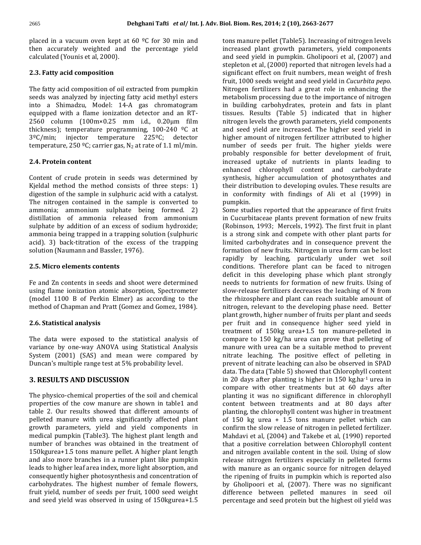**Dehghani Tafti** et al/ Int. J. Adv. Bi<br>in a vacuum oven kept at 60 <sup>o</sup>C for 30 min and **Dehghani Tafti** *et al/* Int. J. Adv. Bion in a vacuum oven kept at 60  $\degree$ C for 30 min and the percentage yield is placed in a vacuum oven kept at<br>then accurately weighted and<br>calculated (Younis et al. 2000). accurately weighted and the<br>ulated (Younis et al, 2000).<br>**Fatty acid composition** 

#### 2.3. Fatty acid composition

s<br>**Fatty acid composition**<br>fatty acid composition of oil extracted from pumpkin b **atty acid composition<br>tty** acid composition of oil extracted from pumpkin<br>was analyzed by injecting fatty acid methyl esters : ,tty acid composition of oil extracted from pumpkin<br>was analyzed by injecting fatty acid methyl esters metal<br>a Shimadzu. Model: 14-A gas chromatogram in bu The fatty The fatty acid composition of oil extracted from pumpkin<br>seeds was analyzed by injecting fatty acid methyl esters<br>into a Shimadzu, Model: 14-A gas chromatogram<br>equipped with a flame ionization detector and an RTvas analyzed by injecting fatty acid methyl esters are metal<br>Shimadzu, Model: 14-A gas chromatogram in bu<br>ed with a flame ionization detector and an RT-<br>column (100m×0.25 mm i.d., 0.20um film introg into a Sh madzu, Model: 14-A gas chromatogram<br>ith a flame ionization detector and an RT-<br>nn (100m×0.25 mm i.d., 0.20µm film<br>temperature programming. 100-240  $\frac{9C}{6}$  at equipped with a flame ionization detector and an RT-<br>2560 column (100m×0.25 mm i.d., 0.20µm film<br>thickness); temperature programming, 100-240  $^{\circ}$ C at<br>3ºC/min: injector temperature 225ºC: detector 2560 column (100m×0.25 mm i.d., 0.20µm film<br>thickness); temperature programming, 100-240 <sup>o</sup>C at<br>3<sup>o</sup>C/min; injector temperature 225<sup>o</sup>C; detector<br>temperature, 250 <sup>o</sup>C; carrier gas, N<sub>2</sub> at rate of 1.1 ml/min.  $3^{\circ}$ C/min; injector temperature 225<sup>o</sup>C; detector temperature, 250<sup>o</sup>C; carrier gas, N<sub>2</sub> at rate of 1.1 ml/min.

#### 2.4. Protein content

ei<mark>n content</mark><br>of crude protein in seeds was determined by **tein content**<br>of crude protein in seeds was determined by<br>method the method consists of three steps: 1) Content of crude protein in seeds was determined by<br>Kjeldal method the method consists of three steps: 1)<br>digestion of the sample in sulphuric acid with a catalyst. ent of crude protein in seeds was determined by<br>
al method the method consists of three steps: 1) the sample in sulphuric acid with a catalyst.<br>
introgen contained in the sample is converted to Kjeldal method the method consists of three steps: 1)<br>digestion of the sample in sulphuric acid with a catalyst.<br>The nitrogen contained in the sample is converted to<br>ammonia: ammonium sulphate being formed. 2) digestion of the sample in sulphuric acid with a catalyst. the sample in sulphuric acid with a catalyst. in contained in the sample is converted to pump<br>ammonium sulphate being formed. 2) Some<br>of ammonia released from ammonium in Cue The nitrogen contained in the sample is converted to<br>ammonia; ammonium sulphate being formed. 2)<br>distillation of ammonia released from ammonium<br>sulphate by addition of an excess of sodium hydroxide: ammonia; ammonium sulphate being formed. 2) ammonium sulphate being formed. 2)<br>of ammonia released from ammonium<br>by addition of an excess of sodium hydroxide;<br>being trapped in a trapping solution (sulphuric distillation of ammonia released from ammonium tion of ammonia released from ammonium<br>te by addition of an excess of sodium hydroxide;<br>ia being trapped in a trapping solution (sulphuric<br>3) back-titration of the excess of the trapping sulphate sulphate by addition of an excess of sodinammonia being trapped in a trapping solu<br>acid). 3) back-titration of the excess of<br>solution (Naumann and Bassler, 1976). **Mode Bloom School** Solem 2015 (Naumann and Bassler, 1976)<br>**Micro elements contents** 

#### 2.5. Micro elements contents

r<br>and Zn contents in seeds and shoot were determined<br>and Zn contents in seeds and shoot were determined **icro elements contents<br>d Zn contents in seeds and shoot were determined<br>flame ionization atomic absorption. Spectrometer**  $\mathbf Z$ n contents in seeds and shoot were determined<br>ime ionization atomic absorption, Spectrometer<br>1100 B of Perkin Elmer) as according to the Fe and Fe and Zn contents in seeds and shoot were determined<br>using flame ionization atomic absorption, Spectrometer<br>(model 1100 B of Perkin Elmer) as according to the<br>method of Chapman and Pratt (Gomez and Gomez, 1984). del 1100 B of Perkin Elm<br>nod of Chapman and Pratt ((<br>**Statistical analysis** 

### 2.6. Statistical analysis

**itatistical analysis<br>data were exposed to the statistical analysis of stical analysis**<br>were-exposed to the statistical analysis of<br>by one-way ANOVA using Statistical Analysis The data were exposed to the statistical analysis of<br>
variance by one-way ANOVA using Statistical Analysis<br>
System (2001) (SAS) and mean were compared by<br>
Duncan's multiple range test at 5% probability level. variance by one-way ANOVA using Statistical Analysis System (2001) (SAS) and mean were compared by Duncan's multiple range test at 5% probability level.

### **3. RESULTS AND DISCUSSION**

**ESULTS AND DISCUSSION**<br>physico-chemical properties of the soil and chemical **S AND DISCUSSION** in<br>
o-chemical properties of the soil and chemical portion of the cow manure are shown in table1 and co hysico-chemical properties of the soil and chemical<br>rties of the cow manure are shown in table1 and<br>2. Our results showed that different amounts of The phy ico-chemical properties of the soil and chemical<br>s of the cow manure are shown in table1 and<br>Our results showed that different amounts of<br>manure with urea significantly affected plant properties of the cow manure are shown in table1 and exparameters, example are shown in table1 and<br>
our results showed that different amounts of<br>
parameters, vield and vield components in<br>
components in table 2. Our results showed that different amounts of<br>manure with urea significantly affected plant<br>parameters, yield and yield components in<br>pumpkin (Table3). The highest plant length and pelleted manure with urea significantly affected plant manure with urea significantly affected plant<br>parameters, yield and yield components in<br>pumpkin (Table3). The highest plant length and<br>of branches was obtained in the treatment of growth parameters, yield and yield components in<br>medical pumpkin (Table3). The highest plant length and<br>number of branches was obtained in the treatment of<br>150kgurea+1.5 tons manure pellet. A higher plant length medical pumpkin (Table3). The highest plant length and<br>
number of branches was obtained in the treatment of<br>
150kgurea+1.5 tons manure pellet. A higher plant length<br>
and also more branches in a runner plant like pumpkin number of branches was obtained in the treatment of<br>150kgurea+1.5 tons manure pellet. A higher plant length<br>and also more branches in a runner plant like pumpkin<br>leads to higher leaf area index, more light absorption, and 150kgurea+1.5 tons manure pellet. A higher plant length<br>and also more branches in a runner plant like pumpkin<br>leads to higher leaf area index, more light absorption, and<br>consequently higher photosynthesis and concentration and also more branches in a runner plant like pumpkin and also more branches in a runner plant like pumpkin<br>leads to higher leaf area index, more light absorption, and<br>consequently higher photosynthesis and concentration of<br>carbohydrates. The highest number of female flowers. to higher leaf area index, more light absorption, and<br>equently higher photosynthesis and concentration of<br>hhydrates. The highest number of female flowers,<br>vield, number of seeds per fruit, 1000 seed weight consequently higher photosynthesis and concentration of equently higher photosynthesis and concentration of<br>
ohydrates. The highest number of female flowers,<br>
yield, number of seeds per fruit, 1000 seed weight<br>
seed vield was observed in using of 150kgurea+1.5

i<mark>om. Res, 2014; 2 (10), 2663-2677</mark><br>manure pellet (Table5). Increasing of nitrogen levels l**es, 2014; 2 (10), 2663-2677**<br>re pellet (Table5). Increasing of nitrogen levels<br>plant growth parameters, vield components manure pellet (Table5). Increasing of nitrogen levels<br>eased plant growth parameters, yield components<br>seed vield in pumpkin. Gholipoori et al. (2007) and tons man iere pellet (Table5). Increasing of nitrogen levels<br>plant growth parameters, yield components<br>yield in pumpkin. Gholipoori et al, (2007) and<br>et al. (2000) reported that nitrogen levels had a increased plant growth parameters, yield components plant growth parameters, yield components<br>ield in pumpkin. Gholipoori et al, (2007) and<br>t al, (2000) reported that nitrogen levels had a<br>effect on fruit numbers. mean weight of fresh and seed yield in pumpkin. Gholipoori et al, (2007) and<br>stepleton et al, (2000) reported that nitrogen levels had a<br>significant effect on fruit numbers, mean weight of fresh<br>fruit. 1000 seeds weight and seed yield in *Cucu* et al, (2000) reported that nitrogen levels had a<br>t effect on fruit numbers, mean weight of fresh<br>) seeds weight and seed yield in *Cucurbita pepo*.<br>fertilizers had a great role in enhancing the significant effect on fruit numbers, mean weight of fresh ffect on fruit numbers, mean weight of fresh<br>eeds weight and seed yield in *Cucurbita pepo*.<br>tilizers had a great role in enhancing the<br>processing due to the importance of nitrogen fruit, 1000 seeds weight and seed yield in *Cucurbita pepo*.<br>Nitrogen fertilizers had a great role in enhancing the<br>metabolism processing due to the importance of nitrogen<br>in building carbohydrates, protein and fats in pla Nitrogen fertilizers had a great role in enhancing the fertilizers had a great role in enhancing the<br>sm processing due to the importance of nitrogen<br>ng carbohydrates, protein and fats in plant<br>Results (Table 5) indicated that in higher metabolism processing due to the importance of nitrogen sm processing due to the importance of nitrogen<br>ng carbohydrates, protein and fats in plant<br>Results (Table 5) indicated that in higher<br>levels the growth parameters, vield components in l uilding carbohydrates, protein and fats in plant<br>es. Results (Table 5) indicated that in higher<br>gen levels the growth parameters, yield components<br>seed yield are increased. The higher seed yield in tissues. Results (Table 5) indicated that in higher<br>nitrogen levels the growth parameters, yield components<br>and seed yield are increased. The higher seed yield in<br>higher amount of nitrogen fertilizer attributed to higher nitrogen levels the growth parameters, yield components<br>and seed yield are increased. The higher seed yield in<br>higher amount of nitrogen fertilizer attributed to higher<br>number of seeds per fruit. The higher yields were and seed yield are increased. The higher seed yield in<br>higher amount of nitrogen fertilizer attributed to higher<br>number of seeds per fruit. The higher yields were<br>probably responsible for better development of fruit. higher amount of nitrogen fertilizer attributed to higher number of seeds per fruit. The higher yields were<br>probably responsible for better development of fruit,<br>increased uptake of nutrients in plants leading to<br>enhanced chlorophyll content and carbohydrate probably responsible for better development of fruit, esponsible for better development of fruit,<br>uptake of nutrients in plants leading to<br>chlorophyll content and carbohydrate<br>higher accumulation of photosynthates and increased uptake of nutrients in plants leading to ased uptake of nutrients in plants leading to<br>nced chlorophyll content and carbohydrate<br>esis, higher accumulation of photosynthates and<br>distribution to developing ovules. These results are enhanced chlorophyll content and carbohydrate<br>synthesis, higher accumulation of photosynthates and<br>their distribution to developing ovules. These results are<br>in conformity with findings of Ali et al (1999) in synthesis, higher accumulation of photosynthates and their distribution to developing ovules. These results are<br>in conformity with findings of Ali et al (1999) in<br>pumpkin.<br>Some studies reported that the appearance of first fruits in conformity with findings of Ali et al (1999) in<br>pumpkin.<br>Some studies reported that the appearance of first fruits<br>in Cucurbitaceae plants prevent formation of new fruits pumpkin.

es reported that the appearance of first fruits<br>aceae plants prevent formation of new fruits<br>1993: Mercels, 1992). The first fruit in plant S me studies reported that the appearance of first fruits<br>Cucurbitaceae plants prevent formation of new fruits<br>obinson, 1993; Mercels, 1992). The first fruit in plant<br>a strong sink and compete with other plant parts for in Cucurbitaceae plants prevent formation of new fruits rbitaceae plants prevent formation of new fruits<br>on, 1993; Mercels, 1992). The first fruit in plant<br>mg sink and compete with other plant parts for<br>carbohydrates and in consequence prevent the (Robinsor of 1993; Mercels, 1992). The first fruit in plant<br>is sink and compete with other plant parts for<br>rbohydrates and in consequence prevent the<br>of new fruits. Nitrogen in urea form can be lost is a strong sink and compete with other plant parts for by sink and compete with other plant parts for<br>arbohydrates and in consequence prevent the<br>i of new fruits. Nitrogen in urea form can be lost<br>by leaching, particularly under wet soil limited carbohydrates and in consequence prevent the<br>formation of new fruits. Nitrogen in urea form can be lost<br>rapidly by leaching, particularly under wet soil<br>conditions. Therefore plant can be faced to nitrogen formation of new fruits. Nitrogen in urea form can be lost on of new fruits. Nitrogen in urea form can be lost<br>by leaching, particularly under wet soil<br>ons. Therefore plant can be faced to nitrogen<br>in this developing phase which plant strongly rapidly by leaching, particularly under wet soil<br>conditions. Therefore plant can be faced to nitrogen<br>deficit in this developing phase which plant strongly<br>needs to nutrients for formation of new fruits. Using of conditions. Therefore plant can be faced to nitrogen ferefore plant can be faced to nitrogen<br>s developing phase which plant strongly<br>rients for formation of new fruits. Using of<br>fertilizers decreases the leaching of N from def represention in this developing phase which plant strongly<br>ds to nutrients for formation of new fruits. Using of<br>prefease fertilizers decreases the leaching of N from<br>rhizosphere and plant can reach suitable amount of needs to nutrients for formation of new fruits. Using of nutrients for formation of new fruits. Using of<br>ase fertilizers decreases the leaching of N from<br>sphere and plant can reach suitable amount of<br>relevant to the developing phase need. Better slowrelease fertilizers decreases the leaching of N from<br>nizosphere and plant can reach suitable amount of<br>gen, relevant to the developing phase need. Better<br>growth, higher number of fruits per plant and seeds the rhizosphere and plant can reach suitable amount of<br>nitrogen, relevant to the developing phase need. Better<br>plant growth, higher number of fruits per plant and seeds<br>per fruit and in consequence higher seed vield in nitrogen, relevant to the developing phase need. Better elevant to the developing phase need. Better<br>th, higher number of fruits per plant and seeds<br>and in consequence higher seed yield in<br>of 150kg urea+1.5 ton manure-pelleted in plant growth, higher number of fruits per plant and seeds<br>per fruit and in consequence higher seed yield in<br>treatment of 150kg urea+1.5 ton manure-pelleted in<br>compare to 150 kg/ha urea can prove that pelleting of per fruit and in consequence higher seed yield in<br>treatment of 150kg urea+1.5 ton manure-pelleted in<br>compare to 150 kg/ha urea can prove that pelleting of<br>manure with urea can be a suitable method to prevent treatment of 150kg urea+1.5 ton manure-pelleted in<br>compare to 150 kg/ha urea can prove that pelleting of<br>manure with urea can be a suitable method to prevent<br>nitrate leaching. The positive effect of pelleting in compare to 150 kg/ha urea can prove that pelleting of of to 150 kg/ha urea can prove that pelleting of<br>with urea can be a suitable method to prevent<br>leaching. The positive effect of pelleting in<br>of nitrate leaching can also be observed in SPAD manure with urea can be a suitable method to prevent re with urea can be a suitable method to prevent<br>te leaching. The positive effect of pelleting in<br>ent of nitrate leaching can also be observed in SPAD<br>The data (Table 5) showed that Chlorophyll content inrate leaching. The positive effect of pelleting in<br>event of nitrate leaching can also be observed in SPAI<br>ta. The data (Table 5) showed that Chlorophyll conten<br>20 days after planting is higher in 150 kg.ha<sup>-1</sup> urea in prevent of nitrate leaching can also be observed in<br>.D<br>nt<br>in f nitrate leaching can also be observed in SPAD<br>data (Table 5) showed that Chlorophyll content<br>s after planting is higher in 150 kg.ha<sup>-1</sup> urea in<br>with other treatments but at 60 days after data. The data (Table 5) showed that Chlorophyll content<br>in 20 days after planting is higher in 150 kg.ha<sup>-1</sup> urea in<br>compare with other treatments but at 60 days after<br>planting it was no significant difference in chloroph in 20 days after planting is higher in  $150 \text{ kg.ha}$ <sup>1</sup> urea in % after planting is higher in  $150 \text{ kg.ha}$ <sup>1</sup> urea in<br>with other treatments but at  $60 \text{ days}$  after<br>it was no significant difference in chlorophyll<br>between treatments and at  $80 \text{ days}$  after compare with other treatments but at 60 days after<br>it was no significant difference in chlorophyll<br>between treatments and at 80 days after<br>the chlorophyll content was higher in treatment planting it was no significant difference in chlorophyll nting it was no significant difference in chlorophyll<br>tent between treatments and at 80 days after<br>nting, the chlorophyll content was higher in treatment<br>150 kg urea + 1.5 tons manure pellet which can content content between treatments and at 80 days after<br>planting, the chlorophyll content was higher in treatment<br>of 150 kg urea + 1.5 tons manure pellet which can<br>confirm the slow release of nitrogen in pelleted fertilizer. the chlorophyll content was higher in treatment<br>ig urea + 1.5 tons manure pellet which can<br>he slow release of nitrogen in pelleted fertilizer.<br>et al. (2004) and Takebe et al. (1990) reported of 150 kg urea + 1.5 tons manure pellet which can<br>confirm the slow release of nitrogen in pelleted fertilizer.<br>Mahdavi et al, (2004) and Takebe et al, (1990) reported<br>that a positive correlation between Chlorophyll content confirm the slow release of nitrogen in pelleted fertilizer.<br>Mahdavi et al, (2004) and Takebe et al, (1990) reported<br>that a positive correlation between Chlorophyll content<br>and nitrogen available content in the soil. Using Mahdavi et al, (2004) and Takebe et al, (1990) reported i et al, (2004) and Takebe et al, (1990) reported<br>ositive correlation between Chlorophyll content<br>ogen available content in the soil. Using of slow<br>nitrogen fertilizers especially in pelleted forms that a positive correlation between Chlorophyll content<br>and nitrogen available content in the soil. Using of slow<br>release nitrogen fertilizers especially in pelleted forms<br>with manure as an organic source for nitrogen dela and nitrogen available content in the soil. Using of slow nitrogen available content in the soil. Using of slow<br>ase nitrogen fertilizers especially in pelleted forms<br>i manure as an organic source for nitrogen delayed<br>ripening of fruits in pumpkin which is reported also rel ase nitrogen fertilizers especially in pelleted forms<br>h manure as an organic source for nitrogen delayed<br>ripening of fruits in pumpkin which is reported also<br>Gholipoori et al. (2007). There was no significant with manure as an organic source for nitrogen delayed e as an organic source for nitrogen delayed<br>i of fruits in pumpkin which is reported also<br>pri et al, (2007). There was no significant<br>between pelleted manures in seed oil the ripening of fruits in pumpkin which is reported also<br>by Gholipoori et al, (2007). There was no significant<br>difference between pelleted manures in seed oil<br>percentage and seed protein but the highest oil vield was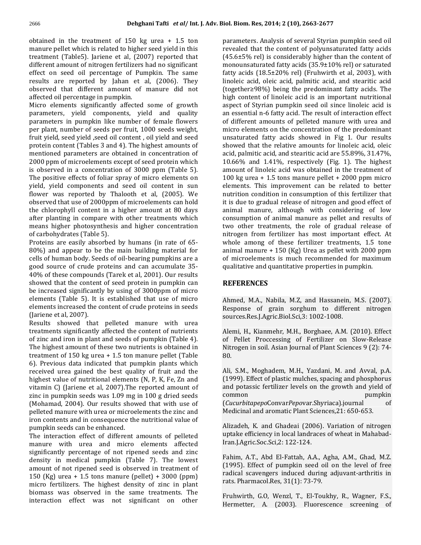**Dehghani Tafti** *et al/* Int. J. Adv. Bion<br>in the treatment of 150 kg urea + 1.5 ton **pellet which is related to higher seed vield in the treatment of 150 kg urea + 1.5 ton**<br>bellet which is related to higher seed yield in this (The treatment of 150 kg urea + 1.5 ton<br>(Table5). Jariene et al. (2007) reported that obtained in the treatment of 150 kg urea + 1.5 ton<br>manure pellet which is related to higher seed yield in this<br>treatment (Table5). Jariene et al, (2007) reported that<br>different amount of nitrogen fertilizers had no signifi manure pellet which is related to higher seed yield in this e pellet which is related to higher seed yield in this<br>ent (Table5). Jariene et al, (2007) reported that<br>nt amount of nitrogen fertilizers had no significant<br>on seed oil percentage of Pumpkin. The same treatment (Table5). Jariene et al, (2007) reported that<br>different amount of nitrogen fertilizers had no significant<br>effect on seed oil percentage of Pumpkin. The same<br>results are reported by Jahan et al. (2006). They different amount of nitrogen fertilizers had no significant<br>effect on seed oil percentage of Pumpkin. The same<br>results are reported by Jahan et al, (2006). They<br>observed that different amount of manure did not effect on seed oil percentage of Pumpkin. The same effect on seed oil percentage of Pu<br>results are reported by Jahan et<br>observed that different amount of<br>affected oil percentage in pumpkin. are reported by Jahan et al, (2006). They<br>ed that different amount of manure did not (<br>doil percentage in pumpkin. h<br>elements significantly affected some of growth a observed that different amount of manure did not t different amount of manure did not<br>centage in pumpkin.<br>ts significantly affected some of growth<br>vield components, vield and quality affected oil percentage in pumpkin.

ercentage in pumpkin.<br>ents significantly affected some of growth<br>yield components, yield and quality<br>in pumpkin like number of female flowers Mic Micro elements significantly affected some of growth<br>parameters, yield components, yield and quality<br>parameters in pumpkin like number of female flowers<br>per plant, number of seeds per fruit, 1000 seeds weight. meters, yield components, yield and quality<br>meters in pumpkin like number of female flowers of<br>plant, number of seeds per fruit, 1000 seeds weight, n<br>vield, seed vield seed oil content , oil vield and seed u parameters in pumpkin like number of female flowers<br>per plant, number of seeds per fruit, 1000 seeds weight,<br>fruit yield, seed yield ,seed oil content , oil yield and seed<br>protein content (Tables 3 and 4). The highest amou per plant, number of seeds per fruit, 1000 seeds weight, umber of seeds per fruit, 1000 seeds weight,<br>seed yield ,seed oil content , oil yield and seed<br>tent (Tables 3 and 4). The highest amounts of<br>parameters are obtained in concentration of fruit yield, seed yield, seed oil content, oil yield and seed pper vield, seed yield, seed oil content, oil yield and seed<br>in content (Tables 3 and 4). The highest amounts of<br>soned parameters are obtained in concentration of<br>ppm of microelements except of seed protein which protein content (Tables 3 and 4). The highest amounts of<br>mentioned parameters are obtained in concentration of<br>2000 ppm of microelements except of seed protein which<br>is observed in a concentration of 3000 ppm (Table 5). tioned parameters are obtained in concentration of<br>a ppm of microelements except of seed protein which<br>served in a concentration of 3000 ppm (Table 5). a<br>positive effects of foliar spray of micro elements on 2000 ppm of microelements except of seed protein which ppm of microelements except of seed protein which<br>
erved in a concentration of 3000 ppm (Table 5). a<br>
sitive effects of foliar spray of micro elements on<br>
yield components and seed oil content in sun is observed in a concentration of 3000 ppm (Table 5).<br>The positive effects of foliar spray of micro elements on<br>yield, yield components and seed oil content in sun<br>flower was reported by Thalooth et al. (2005). We The positive effects of foliar spray of micro elements on ive effects of foliar spray of micro elements on<br>ld components and seed oil content in sun<br>as reported by Thalooth et al, (2005). We n<br>that use of 2000ppm of microelements can hold it yield, yield components and seed oil content in sun<br>flower was reported by Thalooth et al, (2005). We<br>observed that use of 2000ppm of microelements can hold<br>the chlorophyll content in a higher amount at 80 days flower was reported by Thalooth et al, (2005). We r was reported by Thalooth et al, (2005). We not wed that use of 2000ppm of microelements can hold it is a higher amount at 80 days a planting in compare with other treatments which c observed that use of 2000ppm of microelements can hold<br>the chlorophyll content in a higher amount at 80 days<br>after planting in compare with other treatments which<br>means higher photosynthesis and higher concentration the chlorophyll content in a higher amount at 80 days the chlorophyll content in a highter planting in compare with<br>means higher photosynthesis a<br>of carbohydrates (Table 5). after planting in compare with other treatments which<br>means higher photosynthesis and higher concentration<br>of carbohydrates (Table 5).<br>Proteins are easily absorbed by humans (in rate of 65higher photosynthesis and higher concentration<br>oblydrates (Table 5).<br>ns are easily absorbed by humans (in rate of 65-<br>and appear to be the main building material for of carbohydrates (Table 5).

rbohydrates (Table 5).<br>
eins are easily absorbed by humans (in rate of 65-<br>
) and appear to be the main building material for<br>
of human body. Seeds of oil-bearing pumpkins are a Proteins are easily absorbed by humans (in rate of 65-<br>80%) and appear to be the main building material for<br>cells of human body. Seeds of oil-bearing pumpkins are a<br>good source of crude proteins and can accumulate 35- $80\%$ ) and appear to be the main building material for cells of human body. Seeds of oil-bearing pumpkins are a<br>good source of crude proteins and can accumulate 35-<br>40% of these compounds (Tarek et al, 2001). Our results<br>showed that the content of seed protein in pumpkin can good source of crude proteins and can accumulate 35od source of crude proteins and can accumulate 35-<br>% of these compounds (Tarek et al, 2001). Our results<br>weed that the content of seed protein in pumpkin can<br>increased significantly by using of 3000ppm of micro 40% of these compounds (Tarek et al, 2001). Our results ese compounds (Tarek et al, 2001). Our results<br>
aat the content of seed protein in pumpkin can<br>
ed significantly by using of 3000ppm of micro<br>
(Table 5). It is established that use of micro showed that the content of seed protein in pumpkin can<br>be increased significantly by using of 3000ppm of micro<br>elements (Table 5). It is established that use of micro<br>elements increased the content of crude proteins in see be increased significant<br>elements (Table 5). It<br>elements increased the<br>(Jariene et al. 2007). elements (Table 5). It is established that use of micro elements increased the content of crude proteins in seeds<br>(Jariene et al, 2007).<br>Results showed that pelleted manure with urea<br>treatments significantly affected the content of nutrients (Jariene et al, 2007).

(Jariene et al, 2007).<br>Results showed that pelleted manure with urea<br>treatments significantly affected the content of nutrients<br>of zinc and iron in plant and seeds of pumpkin (Table 4). highest amount of that pelleted manure with urea<br>timents significantly affected the content of nutrients<br>nc and iron in plant and seeds of pumpkin (Table 4).<br>highest amount of these two nutrients is obtained in treatments significantly affected the content of nutrients is significantly affected the content of nutrients<br>1 iron in plant and seeds of pumpkin (Table 4).<br>1.1 tamount of these two nutrients is obtained in<br>150 kg urea + 1.5 ton manure pellet (Table of zinc and iron in plant and seeds of pumpkin (Table 4). inc and iron in plant and seeds of pumpkin (Table 4).<br>
highest amount of these two nutrients is obtained in<br>
tment of 150 kg urea + 1.5 ton manure pellet (Table 8)<br>
Previous data indicated that pumpkin plants which The highest amount of these two nutrients is obtained in<br>treatment of 150 kg urea  $+$  1.5 ton manure pellet (Table<br>6). Previous data indicated that pumpkin plants which<br>received urea gained the best quality of fruit and t treatment of 150 kg urea  $+$  1.5 ton manure pellet (Table mt of 150 kg urea + 1.5 ton manure pellet (Table<br>vious data indicated that pumpkin plants which<br>d urea gained the best quality of fruit and the<br>value of nutritional elements (N, P, K, Fe, Zn and 6). Previous data indicated that pumpkin plants which<br>received urea gained the best quality of fruit and the<br>highest value of nutritional elements (N, P, K, Fe, Zn and<br>vitamin C) (Jariene et al. 2007).The reported amount o received urea gained the best quality of fruit and the in wed urea gained the best quality of fruit and the est value of nutritional elements (N, P, K, Fe, Zn and nin C) (Jariene et al, 2007). The reported amount of in pumpkin seeds was 1.09 mg in 100 g dried seeds highest value of nutritional elements (N, P, K, Fe, Zn and e of nutritional elements (N, P, K, Fe, Zn and<br>Jariene et al, 2007).The reported amount of<br>pkin seeds was 1.09 mg in 100 g dried seeds<br>2004). Our results showed that with use of vitamin C) (Jariene et al, 2007).The reported amount of<br>zinc in pumpkin seeds was 1.09 mg in 100 g dried seeds<br>(Mohamad, 2004). Our results showed that with use of<br>pelleted manure with urea or microelements the zinc and zinc in pumpkin seeds was 1.09 mg in 100 g dried seeds in pumpkin seeds was 1.09 mg in 100 g dried seeds<br>hamad, 2004). Our results showed that with use of<br>ted manure with urea or microelements the zinc and<br>contents and in consequence the nutritional value of (Mohama (Mohamad, 2004). Our results show<br>pelleted manure with urea or microe<br>iron contents and in consequence th<br>pumpkin seeds can be enhanced. ted manure with urea or microelements the zinc and<br>
contents and in consequence the nutritional value of<br>
pkin seeds can be enhanced.<br>
interaction effect of different amounts of pelleted iron contents and in consequence the nutritional value of<br>
pumpkin seeds can be enhanced.<br>
The interaction effect of different amounts of pelleted<br>
manure with urea and micro elements affected pumpkin seeds can be enhanced.

ds can be enhanced.<br>
on effect of different amounts of pelleted<br>
h urea and micro elements affected<br>
percentage of not ripened seeds and zinc The interaction effect of different amounts of pelleted raction effect of different amounts of pelleted<br>with urea and micro elements affected<br>ntly percentage of not ripened seeds and zinc<br>in medical pumpkin (Table 7). The lowest manure with urea and micro elements affected<br>significantly percentage of not ripened seeds and zinc<br>density in medical pumpkin (Table 7). The lowest<br>amount of not ripened seed is observed in treatment of significantly percentage of not ripened seeds and zinc ficantly percentage of not ripened seeds and zinc<br>ity in medical pumpkin (Table 7). The lowest<br>unt of not ripened seed is observed in treatment of<br>(Kg) urea + 1.5 tons manure (pellet) + 3000 (ppm) density in medical pumpkin (Table 7). The lowest<br>amount of not ripened seed is observed in treatment of<br>150 (Kg) urea + 1.5 tons manure (pellet) + 3000 (ppm)<br>micro fertilizers. The highest density of zinc in plant amount of not ripened seed is observed in treatment of f not ripened seed is observed in treatment of<br>urea  $+ 1.5$  tons manure (pellet)  $+ 3000$  (ppm)<br>tilizers. The highest density of zinc in plant<br>was observed in the same treatments. The 150 (Kg) urea + 1.5 tons manure (pellet) + 3000 (ppm)<br>micro fertilizers. The highest density of zinc in plant<br>biomass was observed in the same treatments. The<br>interaction effect was not significant on other

s, 2014; 2 (10), 2663-2677<br>Analysis of several Styrian pumpkin seed oil Res, 2014; 2 (10), 2663-2677<br>rs. Analysis of several Styrian pumpkin seed oil<br>that the content of polyunsaturated fatty acids s. Analysis of several Styrian pumpkin seed oil<br>hat the content of polyunsaturated fatty acids<br>rel) is considerably higher than the content of parameters. Analysis of several Styrian pumpkin seed oil<br>revealed that the content of polyunsaturated fatty acids<br>(45.6±5% rel) is considerably higher than the content of<br>monounsaturated fatty acids (35.9±10% rel) or satur revealed that the content of polyunsaturated fatty acids led that the content of polyunsaturated fatty acids<br> $\pm 5\%$  rel) is considerably higher than the content of<br>unsaturated fatty acids (35.9 $\pm 10\%$  rel) or saturated<br>acids (18.5 $\pm 20\%$  rel) (Fruhwirth et al. 2003), with (45.6±5% rel) is considerably higher than the content of<br>monounsaturated fatty acids (35.9±10% rel) or saturated<br>fatty acids (18.5±20% rel) (Fruhwirth et al, 2003), with<br>linoleic acid, oleic acid, palmitic acid, and stear monounsaturated fatty acids (35.9±10% rel) or saturated<br>fatty acids (18.5±20% rel) (Fruhwirth et al, 2003), with<br>linoleic acid, oleic acid, palmitic acid, and stearitic acid<br>(together≥98%) being the predominant fatty acid fatty acids  $(18.5\pm20\%$  rel) (Fruhwirth et al, 2003), with acids (18.5±20% rel) (Fruhwirth et al, 2003), with<br>eic acid, oleic acid, palmitic acid, and stearitic acid<br>ther≥98%) being the predominant fatty acids. The<br>content of linoleic acid is an important nutritional linoleic acid, oleic acid, palmitic acid, and stearitic acid<br>(together≥98%) being the predominant fatty acids. The<br>high content of linoleic acid is an important nutritional<br>aspect of Styrian pumpkin seed oil since linoleic (together $\geq$ 98%) being the predominant fatty acids. The gether≥98%) being the predominant fatty acids. The<br>h content of linoleic acid is an important nutritional<br>bect of Styrian pumpkin seed oil since linoleic acid is<br>essential n-6 fatty acid. The result of interaction effect high content of linoleic acid is an important nutritional th content of linoleic acid is an important nutritional<br>bect of Styrian pumpkin seed oil since linoleic acid is<br>essential n-6 fatty acid. The result of interaction effect<br>different amounts of pelleted manure with urea and aspec of Styrian pumpkin seed oil since linoleic acid is<br>ential n-6 fatty acid. The result of interaction effect<br>erent amounts of pelleted manure with urea and<br>elements on the concentration of the predominant an essential n-6 fatty acid. The result of interaction effect<br>of different amounts of pelleted manure with urea and<br>micro elements on the concentration of the predominant<br>unsaturated fatty acids showed in Fig 1. Our result of different amounts of pelleted manure with urea and<br>micro elements on the concentration of the predominant<br>unsaturated fatty acids showed in Fig 1. Our results<br>showed that the relative amounts for linoleic acid. oleic micro elements on the concentration of the predominant<br>unsaturated fatty acids showed in Fig 1. Our results<br>showed that the relative amounts for linoleic acid, oleic<br>acid. palmitic acid. and stearitic acid are 55.89%, 31.4 unsaturated fatty acids showed in Fig. 1. Our results showed that the relative amounts for linoleic acid, oleic that the relative amounts for linoleic acid, oleic<br>mitic acid, and stearitic acid are 55.89%, 31.47%,<br>and 1.41%, respectively (Fig. 1). The highest<br>of linoleic acid was obtained in the treatment of acid, palmitic acid, and stearitic acid are 55.89%, 31.47%, palmitic acid, and stearitic acid are 55.89%, 31.47%, 6% and 1.41%, respectively (Fig. 1). The highest unt of linoleic acid was obtained in the treatment of kg urea + 1.5 tons manure pellet + 2000 ppm micro 10.66% a nd 1.41%, respectively (Fig. 1). The highest<br>linoleic acid was obtained in the treatment of<br>a + 1.5 tons manure pellet + 2000 ppm micro<br>This improvement can be related to better amount of linoleic acid was obtained in the treatment of  $100 \text{ kg}$  urea  $+ 1.5$  tons manure pellet  $+ 2000$  ppm micro elements. This improvement can be related to better nutrition condition in consumption of this fertili 100 kg urea + 1.5 tons manure pellet + 2000 ppm micro  $100 \text{ kg}$  urea  $+ 1.5$  tons manure pellet  $+ 2000$  ppm micro ements. This improvement can be related to better that trition condition in consumption of this fertilizer that is due to gradual release of nitrogen and good elements. This improvement can be related to better<br>nutrition condition in consumption of this fertilizer that<br>it is due to gradual release of nitrogen and good effect of<br>animal manure, although with considering of low nutrition condition in consumption of this fertilizer that dition in consumption of this fertilizer that<br>adual release of nitrogen and good effect of<br>ire, although with considering of low<br>of animal manure as pellet and results of it is due to gradual release of nitrogen and good effect of<br>animal manure, although with considering of low<br>consumption of animal manure as pellet and results of<br>two other treatments, the role of gradual release of animal manure, although with considering of low manure, although with considering of low<br>ion of animal manure as pellet and results of<br>r treatments, the role of gradual release of<br>from fertilizer has most important effect. At consumption of animal manure as pellet and results of ption of animal manure as pellet and results of<br>her treatments, the role of gradual release of<br>n from fertilizer has most important effect. At<br>among of these fertilizer treatments. 1.5 tone two of her treatments, the role of gradual release of<br>n from fertilizer has most important effect. At<br>among of these fertilizer treatments, 1.5 tone<br>manure + 150 (Kg) Urea as pellet with 2000 ppm nitrogen from fertilizer has most important effect. At rogen from fertilizer has most important effect. At<br>ole among of these fertilizer treatments, 1.5 tone<br>mal manure + 150 (Kg) Urea as pellet with 2000 ppm<br>microelements is much recommended for maximum whole among of these fertilizer treatments, 1.5 to<br>animal manure + 150 (Kg) Urea as pellet with 2000 p<br>of microelements is much recommended for maxim<br>qualitative and quantitative properties in pumpkin.

REFERENCES<br>Ahmed. M.A., Nabila, M.Z. and Hassanein, M.S. (2007). **CES**<br>A., Nabila, M.Z, and Hassanein, M.S. (2007).<br>of grain sorghum to different nitrogen Ahmed, M.A., Nabila, M.Z, and Hassanein,<br>Response of grain sorghum to differe<br>sources.Res.I.Agric.Biol.Sci.3:1002-1008. Response of grain sorghum to different nitrogen sources.Res.J.Agric.Biol.Sci,3: 1002-1008.

rces.Res.J.Agric.Biol.Sci,3: 1002-1008.<br>ni, H., Kianmehr, M.H., Borghaee, A.M. (2010). Effect<br>Pellet Proccessing of Fertilizer on Slow-Release Alemi, H., Kianmehr, M.H., Borghaee, A.M. (2010). Effect<br>of Pellet Proccessing of Fertilizer on Slow-Release<br>Nitrogen in soil. Asian Journal of Plant Sciences 9 (2): 74-Nitrogen in soil. Asian Journal of Plant Sciences 9 (2): 74-<br>80.<br>Ali, S.M., Moghadem, M.H., Yazdani, M. and Avval, p.A.

eral Correction Correction Correction<br>Effect of plastic mulches, spacing and phosphorus<br>Effect of plastic mulches, spacing and phosphorus S.M., Moghadem, M.H., Yazdani, M. and Avval, p.A.<br>9). Effect of plastic mulches, spacing and phosphorus<br>potassic fertilizer levels on the growth and vield of Ali, S.M., Moghadem, M.H., Yazdani, M. and Avval, p.A.<br>(1999). Effect of plastic mulches, spacing and phosphorus<br>and potassic fertilizer levels on the growth and yield of<br>common (1999). Effect of plastic mulches, spacing and phosphorus<br>and potassic fertilizer levels on the growth and yield of<br>common pumpkin<br>(*Cucurbitapepo*Convar*Pepo*var.Shyriaca).journal of and potassic fertilizer levels on the growth and yield<br>common pumpl<br>(*Cucurbitapepo*Convar*Pepo*var.Shyriaca).journal<br>Medicinal and aromatic Plant Sciences.21: 650-653. pepoConvar Pepovar Shyriaca) .journal of<br>and aromatic Plant Sciences, 21: 650-653.<br>K. and Ghadeai (2006). Variation of nitrogen Medicinal and aromatic Plant Sciences, 21: 650-653.

Figure 1.1 and aromatic Plant Sciences,  $21:650-653$ .<br>
In K. and Ghadeai (2006). Variation of nitrogen<br>
efficiency in local landraces of wheat in Mahabad-Alizadeh, K. and Ghadeai (2006)<br>uptake efficiency in local landrace<br>Iran.I.Agric.Soc.Sci.2: 122-124. uptake efficiency in local landraces of wheat in Mahabad-Iran.J.Agric.Soc.Sci,2: 122-124. radical

ric.Soc.Sci,2: 122-124.<br>A.T., Abd El-Fattah, A.A., Agha, A.M., Ghad, M.Z.<br>Effect of pumpkin seed oil on the level of free  $(1995)$ . Effect of pumpkin seed oil on the level of free Fahim, A.T., Abd El-Fattah, A.A., Agl<br>(1995). Effect of pumpkin seed oil<br>radical scavengers induced during a<br>rats. Pharmacol.Res. 31(1): 73-79. radical scavengers induced during adjuvant-arthritis in rats. Pharmacol.Res, 31(1): 73-79.

Fruhwirth, G.O, Wenzl, T., El-Toukhy, R., Wagner, F.S., Hermetter, A. (2003). Fluorescence screening of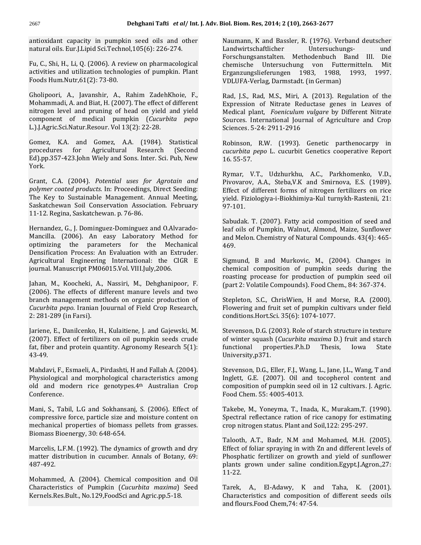Dehghani Tafti et al/ Int. J. Adv.<br>Capacity in pumpkin seed oils and other **Dehghani Tafti** et al/ I<br>antioxidant capacity in pumpkin seed oils and othe<br>natural oils. Eur.I.Lipid Sci.Technol.105(6): 226-274. oxidant capacity in pumpkin seed oils and other<br>ural oils. Eur.J.Lipid Sci.Technol,105(6): 226-274.<br>C., Shi, H., Li, O. (2006). A review on pharmacological natural oils. Eur. J. Lipid Sci. Technol, 105(6): 226-274.

Fu, C., Shi, H., Li, Q. (2006). A review on pharmacological Fu, C., Shi, H., Li, Q. (2006). A revi<br>activities and utilization technolo<br>Foods Hum.Nutr.61(2): 73-80. activities and utilization technologies of pumpkin. Plant<br>Foods Hum.Nutr,61(2): 73-80.<br>Gholipoori. A., Javanshir. A., Rahim ZadehKhoie. F.,

utr,61(2): 73-80.<br>A. Javanshir, A., Rahim ZadehKhoie, F.,<br>A. and Biat. H. (2007). The effect of different i, A., Javanshir, A., Rahim ZadehKhoie, F.,<br>adi, A. and Biat, H. (2007). The effect of different E<br>level and pruning of head on yield and yield Gholipoori, A., Javanshir, A., Rahim ZadehKhoie, F.,<br>A. and Biat, H. (2007). The effect of different<br>1 and pruning of head on yield and yield<br>of medical pumpkin *(Cucurbita pepo* Mohammadi, A. and Biat, H. Mohammadi, A. and Biat, H. (2007). The effect of<br>nitrogen level and pruning of head on yield a<br>component of medical pumpkin (*Cucurbi*<br>L.).I.Agric.Sci.Natur.Resour. Vol 13(2): 22-28. nt of medical pumpkin (*Cucurbita pepo*<br>Sci.Natur.Resour. Vol 13(2): 22-28.<br>K.A. and Gomez. A.A. (1984). Statistical L.).J.Agric.Sci.Natur.Resour. Vol 13(2): 22-28.  $\mathcal{L}$ 

atur.Resour. Vol 13(2):  $22-28$ .<br>
and Gomez, A.A. (1984). Statistical Franciscope<br>
for Agricultural Research (Second Gomez, A.A. (1984). Statistical Robi<br>Agricultural Research (Second *cucui*<br>Wiely and Sons. Inter. Sci. Pub. New 16.5 Gome procedures Ed).pp.357-423.John Wiely and Sons. Inter. Sci. Pub, New<br>York.<br>Grant. C.A. (2004). *Potential uses for Aarotain and* York.

*cork.*<br>*Crant, C.A. (2004). Potential uses for Agrotain and polymer coated products. In: Proceedings. Direct Seeding:* Grant, C.A. (2004). *Potential uses for Agrotain and*<br>*polymer coated products*. In: Proceedings, Direct Seeding:<br>The Key to Sustainable Management. Annual Meeting. 004). *Potential uses for Agrotain and products*. In: Proceedings, Direct Seeding:<br>stainable Management. Annual Meeting,<br>Soil Conservation Association. February polymer coated products. In: Proceedings, Direct Seeding: polymer coated products. In: Proceedings,<br>The Key to Sustainable Management. A<br>Saskatchewan Soil Conservation Associa<br>11-12. Regina. Saskatchewan. p. 76-86. Saskatchewan Soil Conservation Association. February 11-12. Regina, Saskatchewan. p. 76-86. optimizing

ina, Saskatchewan. p. 76-86.<br>, G., J. Dominguez-Dominguez and O.Alvarado-<br>(2006). An easy Laboratory Method for The parameters of the parameters for the Mechanical D.6).<br>An easy Laboratory Method for the Mechanical Hernandez, G Hernandez, G., J. Dominguez-Dominguez and O.Alvarado-Mancilla. (2006). An easy Laboratory Method for optimizing the parameters for the Mechanical Densification Process: An Evaluation with an Extruder. 006). An easy Laboratory Method for<br>the parameters for the Mechanical 4<br>Process: An-Evaluation with an-Extruder.<br>Engineering International: the CIGR E optimizing the parameters for the Mecha<br>Densification Process: An-Evaluation with an-Extr<br>Agricultural Engineering International: the CIC<br>journal.-Manuscript-PM06015.Vol.-VIII.July,2006. Agricultural Engineering International: the CIGR E<br>journal.Manuscript.PM06015.Vol.VIII.July,2006.<br>Jahan.M..Koocheki,A.,Nassiri,M.,Dehghanipoor,F. branch and the state of the state of the state of the state of the state of the state of the state of the state of the state of the state of the state of the state of the state of the state of the state of the state of the

 The effects of different manure levels and two M., Koocheki, A., Nassiri, M., Dehghanipoor, F.<br>The effects of different manure levels and two<br>management methods on organic production of Jahan, M., Koocheki, A., Nassiri, M., Dehghanipoor, F.<br>(2006). The effects of different manure levels and two<br>branch management methods on organic production of<br>*Cucurbita pepo*. Iranian Jouurnal of Field Crop Research. (2006). The effects of different manure levels and two branch management methods on organic production of *Cucurbita pepo*. Iranian Jouurnal of Field Crop Research, 2: 281-289 (in Farsi). *Cucurbita pepo*. Iranian Jouurnal of Field Crop Research,<br>2: 281-289 (in Farsi).<br>Iariene. E., Danilcenko. H., Kulaitiene, I. and Gaiewski, M.

89 (in Farsi).<br>E., Danilcenko, H., Kulaitiene, J. and Gajewski, M.<br>Effect of fertilizers on oil pumpkin seeds crude Jariene, E., Danilcenko, H., Kulaitiene, J. and Gajewski, M.<br>(2007). Effect of fertilizers on oil pumpkin seeds crude<br>fat. fiber and protein quantity. Agronomy Research 5(1): fat, fiber and protein quantity. Agronomy Research 5(1):<br>43-49.<br>Mahdavi. F., Esmaeli, A., Pirdashti, H and Fallah A. (2004).

and morphological characteristics among<br>and morphological characteristics among davi, F., Esmaeli, A., Pirdashti, H and Fallah A. (2004).<br>iological and morphological characteristics among li<br>and modern rice genotypes.4<sup>th</sup> Australian Crop c Mahdavi, F., old and modern rice genotypes.4<sup>th</sup> Australian Crop<br>Conference.<br>Mani, S., Tabil, L.G and Sokhansani, S. (2006). Effect of Conference.

F<br>il, L.G and Sokhansanj, S. (2006). Effect of T<br>force, particle size and moisture content on S Mani, S., Tabil, L.G and Sokhansanj, S. (2006). Effect of compressive force, particle size and moisture content on mechanical properties of biomass pellets from grasses. Mani, S., Tabil, L.G and Sokhansanj<br>compressive force, particle size and<br>mechanical properties of biomass p<br>Biomass Bioenergy, 30: 648-654. compressive force, particle size and moisture content on Spectral reflectance ration of rice canopy for est mechanical properties of biomass pellets from grasses. The crop nitrogen status. Plant and Soil,122: 295-297. Biomass Bioenergy, 30: 648-654.

Marcelis, L.F.M. (1992). The dynamics of growth and dry matter distribution in cucumber. Annals of Botany, 69:<br>487-492.<br>Mohammed. A. (2004). Chemical composition and Oil 487-492.

Characteristics of Pumpkin (Cucurbita maxima) Seed<br>Kernels.Res.Bult., No.129,FoodSci and Agric.pp.5-18.

es, 2014; 2 (10), 2663-2677<br>K and Bassler. R. (1976). Verband deutscher 1663-2677<br>1. (1976). Verband deutscher<br>Untersuchungs- und Methodenbuch Band III. Die chemische Untersuchung von Futtermitteln. Mit Landwirtschaftlicher Landwirtschaftlicher Untersuchungs- und<br>Forschungsanstalten. Methodenbuch Band III. Die<br>chemische Untersuchung von Futtermitteln. Mit chemische Untersuchung von Futtermitteln. Erganzungslieferungen 1983, 1988, 1993, 1997.<br>VDLUFA-Verlag, Darmstadt. (in German)<br>Rad. I.S., Rad. M.S., Miri, A. (2013). Regulation of the VDLUFA-Verlag, Darmstadt. (in German)

lag, Darmstadt. (in German)<br>d, M.S., Miri, A. (2013). Regulation of the<br>of Nitrate Reductase genes in Leaves of plant, *Foeniculum Foenica, Miri, A.* (2013). Regulation of the<br> *Foeniculum vulgare* by Different Nitrate<br> *Foeniculum vulgare* by Different Nitrate Rad, J.S. Rad, M.S., Miri, A. (2013). Regulation of the<br>nn of Nitrate Reductase genes in Leaves of<br>plant, *Foeniculum vulgare* by Different Nitrate<br>International Iournal of Agriculture and Crop Expression of Nitrate Reductase<br>Medical plant, *Foeniculum vulgare*<br>Sources. International Journal of *P*<br>Sciences. 5-24: 2911-2916 Sources. International Journal of Agriculture and Crop<br>Sciences. 5-24: 2911-2916<br>Robinson. R.W. (1993). Genetic parthenocarpy in Sciences. 5-24: 2911-2916

Robinson, R.W. (1993). Genetic parthenocarpy in Robinson, R<br>*cucurbita pep*<br>16.55-57. cucurbita pepo L. cucurbit Genetics cooperative Report<br>16.55-57.<br>Rymar. V.T., Udzhurkhu, A.C., Parkhomenko, V.D.,

16.55-57.<br>Rymar, V.T., Udzhurkhu, A.C., Parkhomenko, V.D.,<br>Pivovarov. A.A.. Steba.V.K and Smirnova. E.S. (1989). , V.T., Udzhurkhu, A.C., Parkhomenko, V.D.,<br>rov, A.A., Steba,V.K and Smirnova, E.S. (1989).<br>of different forms of nitrogen fertilizers on rice Rymar, V.T., Udzhurkhu, A.C., Parkhomenko, V.D.,<br>Pivovarov, A.A., Steba,V.K and Smirnova, E.S. (1989).<br>Effect of different forms of nitrogen fertilizers on rice<br>vield. Fiziologiva-i-Biokhimiva-Kul turnykh-Rastenii. 21: yield. Fiziologiya-i-Biokhimiya-Kul turnykh-Rastenii, 21:<br>97-101.<br>Sabudak. T. (2007). Fatty acid composition of seed and 97-101.

01.<br>1991 – Mark T. (2007). Fatty acid composition of seed and<br>1991 oils of Pumpkin, Walnut, Almond, Maize, Sunflower Sabudak. T. (2007). Fatty acid composition of seed and<br>leaf oils of Pumpkin, Walnut, Almond, Maize, Sunflower<br>and Melon. Chemistry of Natural Compounds. 43(4): 465and Melon. Chemistry of Natural Compounds. 43(4): 465-<br>469.<br>Sigmund. B. and Murkovic. M., (2004). Changes in 469.

EXTERN HOT COMPANY COMPONED SAID COMPOSITION OF PUMPKIN SEEDS during the second of pumpkin seeds during the B and Murkovic, M., (2004). Changes in composition of pumpkin seeds during the procease for production of pumpkin seed oil Sigm Sigmund, B and Murkovic, M., (2004). Changes in chemical composition of pumpkin seeds during the roasting procease for production of pumpkin seed oil (part 2: Volatile Compounds). Food Chem., 84: 367-374. roasting procease for production of pumpkin seed oil<br>(part 2: Volatile Compounds). Food Chem., 84: 367-374.<br>Stepleton. S.C., ChrisWien. H and Morse, R.A. (2000). conditions.

atile Compounds). Food Chem., 84: 367-374.<br>S.C., ChrisWien, H and Morse, R.A. (2000).<br>and fruit set of pumpkin cultivars under field 35)<br>Stepleton, S.C., ChrisWien, H and Mors<br>Flowering and fruit set of pumpkin cultiv<br>conditions.Hort.Sci. 35(6): 1074-1077. Flowering and fruit set of pumpkin cultivars under field conditions. Hort. Sci. 35(6): 1074-1077.

nditions.Hort.Sci. 35(6): 1074-1077.<br>evenson, D.G. (2003). Role of starch structure in texture<br>winter squash (*Cucurbita maxima* D.) fruit and starch G. (2003). Role of starch structure in texture<br>ash (*Cucurbita maxima* D.) fruit and starch<br>properties.P.h.D Thesis. Iowa State Stevenson, D.G. (2003). Role of starch structure in texture functional proper<br>University.p371. properties.P.h.D Thesis, Iowa State<br>0371.<br>D.G., Eller, F.I., Wang, L., Iane, I.L., Wang, T and  $\overline{\phantom{a}}$ 

ty,p371.<br>on, D.G., Eller, F.J., Wang, L., Jane, J.L., Wang, T and<br>G.E. (2007). Oil and tocopherol content and Stevenson, D.G., Eller, F.J., Wang, L., Jane, J.L., Wang, T and<br>Inglett, G.E. (2007). Oil and tocopherol content and<br>composition of pumpkin seed oil in 12 cultivars. I. Agric. Stevenson, D.G., Eller, F.J., Wang<br>Inglett, G.E. (2007). Oil and<br>composition of pumpkin seed<br>Food Chem. 55: 4005-4013. composition of pumpkin seed oil in 12 cultivars. J. Agric.<br>Food Chem. 55: 4005-4013.<br>Takebe. M., Yonevma, T., Inada, K., Murakam.T. (1990).

rm. 55: 4005-4013.<br>M., Yoneyma, T., Inada, K., Murakam,T. (1990).<br>reflectance ration of rice canopy for estimating Takebe, M., Yoneyma, T., Inada, K., Murakam,T. (19<br>Spectral reflectance ration of rice canopy for estima<br>crop nitrogen status. Plant and Soil.122: 295-297. Spectral reflectance ration of rice canopy for estimating. Phosphatic

matter distribution in cucumber. Annals of Botany, 69:<br>487-492.<br>Mohammed, A. (2004). Chemical composition and Oil<br>Mohammed, A. (2004). Chemical composition and Oil itrogen status. Plant and Soil,122: 295-297.<br>h, A.T., Badr, N.M and Mohamed, M.H. (2005).<br>of foliar spraving in with Zn and different levels of  $\Gamma$ , Badr, N.M and Mohamed, M.H. (2005).<br>ar spraying in with Zn and different levels of<br>fertilizer on growth and vield of sunflower Taloot Talooth, A.T., Badr, N.M and Mohamed, M.H. (2005).<br>Effect of foliar spraying in with Zn and different levels of<br>Phosphatic fertilizer on growth and yield of sunflower<br>plants grown under saline condition.Egypt.I.Agron..27: plants grown under saline condition.Egypt.J.Agron.,27:<br>11-22.<br>Tarek. A., El-Adawy, K. and Taha, K. (2001).

and composition of different seeds oils<br>and composition of different seeds oils k, A., El-Adawy, K an<br>racteristics and composition<br>flours.Food Chem.74: 47-54.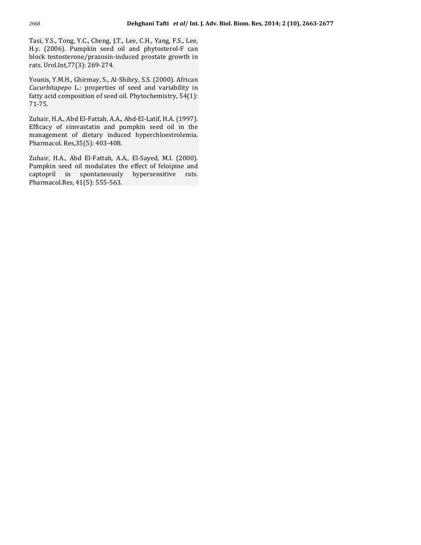Tasi, Y.S., Tong, Y.C., Cheng, J.T., Lee, C.H., Yang, F.S., Lee, Tasi, Y.S., Tong, Y.C., Cheng, J.T., Lee, C.H., Yang, F.S., Lee, (2006). Pumpkin seed oil and phytosterol-F can .S., Tong, Y.C., Cheng, J.T., Lee, C.H., Yang, F.S., Lee,<br>2006). Pumpkin seed oil and phytosterol-F can<br>testosterone/prazosin-induced prostate growth in Tasi Tasi, Y.S., Tong, Y.C., Cheng, J.T.,<br>H.y. (2006). Pumpkin seed oil<br>block testosterone/prazosin-ind<br>rats. Urol.Int.77(3): 269-274. stosterone/prazosin-induced prostate growth in<br>bl.Int,77(3): 269-274.<br>Y.M.H., Ghirmav, S., Al-Shihry, S.S. (2000). African rats. Urol.Int, 77(3): 269-274.

 $L: 269-274.$ <br>Ghirmay, S., Al-Shihry, S.S. (2000). African<br>L.: properties of seed and variability in Younis, Y.M.H., Ghirmay, S., Al-Shihry, S.S. (2000). African<br>*Cucurbitapepo L*.: properties of seed and variability in fatty acid composition of seed oil. Phytochemistry. 54(1): fatty acid composition of seed oil. Phytochemistry, 54(1):<br>71-75.<br>Zuhair. H.A., Abd El-Fattah, A.A., Abd-El-Latif, H.A. (1997).

Zuhair, H.A., Abd El-Fattah, A.A., Abd-El-Latif, H.A. (1997). 71-75.<br>Zuhair, H.A., Abd El-Fattah, A.A., Abd-El-Latif, H.A. (1997).<br>Efficacy of simvastatin and pumpkin seed oil in the Zuhair, H.A., Abd El-Fattah, A.A., Ab<br>Efficacy of simvastatin and pum<br>management of dietary induced<br>Pharmacol. Res.35(5): 403-408. management of dietary induced hyperchloestrolemia.<br>Pharmacol.Res,35(5):403-408.<br>Zuhair. H.A., Abd El-Fattah, A.A., El-Saved, M.I. (2000).

l. Res, 35(5): 403-408.<br>A., Abd El-Fattah, A.A., El-Sayed, M.I. (2000).<br>seed oil modulates the effect of feloipine and Pharmacol. Res, 35(5): 403-408.<br>
Zuhair, H.A., Abd El-Fattah, A.A., El-Sayed, M.I. (2000).<br>
Pumpkin seed oil modulates the effect of feloipine and<br>
captopril in spontaneously hypersensitive rats. d El-Fattah, A.<br>1901 modulates the<br>1901 spontaneously<br>41(5): 555-563.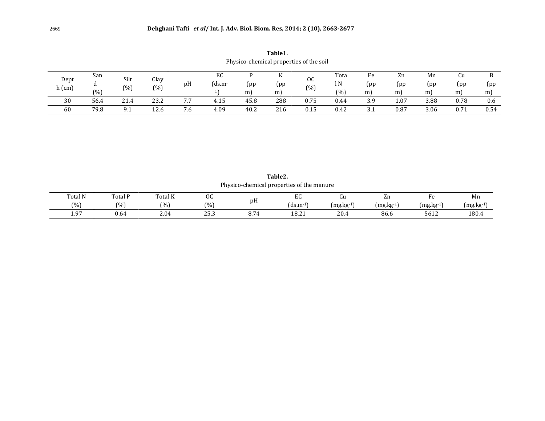Table1. **ble1.**<br>properties of the soil Physico-chemical properties of the

|                  | Physico-chemical properties of the soil |              |             |                      |             |               |                 |                      |                     |                      |                |                |                 |               |
|------------------|-----------------------------------------|--------------|-------------|----------------------|-------------|---------------|-----------------|----------------------|---------------------|----------------------|----------------|----------------|-----------------|---------------|
| Dept<br>$h$ (cm) | San<br>(% )                             | Silt<br>(% ) | انٽ<br>(% ) | pH                   | EC<br>(ds.m | D<br>(pp<br>m | T F<br>(pp<br>m | <sub>OC</sub><br>(%) | Tota<br>1 N<br>(% ) | Fe<br>(pp<br>m       | Zn<br>(pp<br>m | Mn<br>(pp<br>m | Cu<br>(pp<br>m) | В<br>(pp<br>m |
| 30               | 56.4                                    | 21.4         | 23.2        | 77<br>$^{\prime}$ ./ | 4.15        | 45.8          | 288             | 0.75                 | 0.44                | 3.9                  | 1.07           | 3.88           | 0.78            | 0.6           |
| 60               | 79.8                                    | 9.1          | 12.6        | 7.6                  | 4.09        | 40.2          | 216             | 0.15                 | 0.42                | $\sim$ $\sim$<br>J.I | 0.87           | 3.06           | 0.71            | 0.54          |

Table2.

|         |         |         |      |      | Table2.<br>Physico-chemical properties of the manure |           |                         |             |             |
|---------|---------|---------|------|------|------------------------------------------------------|-----------|-------------------------|-------------|-------------|
| Total N | Total P | Total K | 0C   |      | EC                                                   | Cu        | Zn                      | Fe          | Mn          |
| (%)     | $(\%)$  | (% )    | (%)  | pH   | $(ds.m-1)$                                           | (mg.kg-1) | $(mg \text{.} kg^{-1})$ | $(mg.kg-1)$ | $(mg.kg-1)$ |
| 1.97    | 0.64    | 2.04    | 25.3 | 8.74 | 18.21                                                | 20.4      | 86.6                    | 5612        | 180.4       |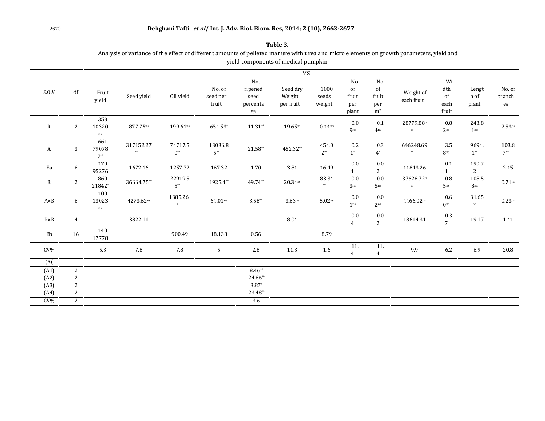# <sup>2670</sup> **Dehghani Tafti** *et al***/ Int. J. Adv. Biol. Biom. Res, 2014; <sup>2</sup> (10), 2663-2677 Dehghani Tafti** et al/ Int. J. Adv. Biol. Biom. Res, 2014; 2<br>Table 3.

Dengnam Tarti et al/ Int. J. Adv. Biol. Biom. Res, 2014; 2 (10), 2663-2677<br>Table 3.<br>of variance of the effect of different amounts of pelleted manure with urea and micro elements on growth parameters. yield and **Table 3.**<br>of pelleted manure with urea and micro ele<br>components of medical pumpkin yield components of medical pumpkin

|                |                     |                          |                         |                           |                             |                                          | MS                              |                         |                                    |                                                      |                         |                                                               |                          |                        |
|----------------|---------------------|--------------------------|-------------------------|---------------------------|-----------------------------|------------------------------------------|---------------------------------|-------------------------|------------------------------------|------------------------------------------------------|-------------------------|---------------------------------------------------------------|--------------------------|------------------------|
| S.0.V          | df                  | Fruit<br>yield           | Seed yield              | Oil yield                 | No. of<br>seed per<br>fruit | Not<br>ripened<br>seed<br>percenta<br>ge | Seed dry<br>Weight<br>per fruit | 1000<br>seeds<br>weight | No.<br>of<br>fruit<br>per<br>plant | No.<br>$^{\rm of}$<br>fruit<br>per<br>m <sup>2</sup> | Weight of<br>each fruit | Wi<br>$\mathrm{d}\mathrm{t}\mathrm{h}$<br>of<br>each<br>fruit | Lengt<br>h of<br>plant   | No. of<br>branch<br>es |
| $\mathbf R$    | 2                   | 358<br>10320<br>ns       | 877.75ns                | 199.61ns                  | 654.53*                     | $11.31**$                                | $19.65$ ns                      | 0.14 <sup>ns</sup>      | 0.0<br><b>gns</b>                  | 0.1<br>4 <sup>ns</sup>                               | 28779.88n<br>${\bf S}$  | 0.8<br>2 <sup>ns</sup>                                        | 243.8<br>1 <sup>ns</sup> | 2.53 <sup>ns</sup>     |
| A              | 3                   | 661<br>79078<br>$7^{**}$ | 317152.27<br>$\ast\ast$ | 74717.5<br>$0^{**}$       | 13036.8<br>$5**$            | $21.58**$                                | 452.32**                        | 454.0<br>$2**$          | 0.2<br>$1^*$                       | 0.3<br>$4^*$                                         | 646248.69<br>$\ast\ast$ | 3.5<br>8ns                                                    | 9694.<br>$1^{**}$        | 103.8<br>$7^{**}$      |
| Ea             | 6                   | 170<br>95276             | 1672.16                 | 1257.72                   | 167.32                      | 1.70                                     | 3.81                            | 16.49                   | 0.0<br>1                           | 0.0<br>$\mathbf{2}$                                  | 11843.26                | 0.1<br>$\mathbf{1}$                                           | 190.7<br>$\overline{2}$  | 2.15                   |
| B              | $\overline{2}$      | 860<br>21842*            | 36664.75**              | 22919.5<br>$5**$          | 1925.4**                    | 49.74**                                  | $20.34^{ns}$                    | 83.34<br>$\star\star$   | $0.0\,$<br>3 <sub>ns</sub>         | $0.0\,$<br>5 <sup>ns</sup>                           | 37628.72n<br>S          | 0.8<br>5 <sub>ns</sub>                                        | 108.5<br>8ns             | $0.71$ ns              |
| $A \times B$   | 6                   | 100<br>13023<br>ns       | 4273.62ns               | 1385.26 <sup>n</sup><br>S | 64.01 <sup>ns</sup>         | $3.58**$                                 | $3.63$ ns                       | $5.02^{ns}$             | $0.0\,$<br>1 <sub>ns</sub>         | 0.0<br>2 <sub>ns</sub>                               | 4466.02ns               | 0.6<br>0 <sub>ns</sub>                                        | 31.65<br>$\rm ns$        | $0.23$ ns              |
| $R \times B$   | 4                   |                          | 3822.11                 |                           |                             |                                          | 8.04                            |                         | 0.0<br>$\overline{4}$              | 0.0<br>$\overline{2}$                                | 18614.31                | 0.3<br>$\overline{7}$                                         | 19.17                    | 1.41                   |
| Eb             | 16                  | 140<br>17778             |                         | 900.49                    | 18.138                      | 0.56                                     |                                 | 8.79                    |                                    |                                                      |                         |                                                               |                          |                        |
| $CV\%$         |                     | 5.3                      | 7.8                     | 7.8                       | 5                           | 2.8                                      | 11.3                            | 1.6                     | 11.<br>$\overline{4}$              | 11.<br>$\overline{4}$                                | 9.9                     | 6.2                                                           | 6.9                      | 20.8                   |
| A(             |                     |                          |                         |                           |                             |                                          |                                 |                         |                                    |                                                      |                         |                                                               |                          |                        |
| (A1)           | 2                   |                          |                         |                           |                             | $8.46**$                                 |                                 |                         |                                    |                                                      |                         |                                                               |                          |                        |
| (A2)           | $\sqrt{2}$          |                          |                         |                           |                             | 24.66**                                  |                                 |                         |                                    |                                                      |                         |                                                               |                          |                        |
| (A3)           | $\overline{c}$<br>2 |                          |                         |                           |                             | $3.87*$<br>23.48**                       |                                 |                         |                                    |                                                      |                         |                                                               |                          |                        |
| (A4)<br>$CV\%$ | 2                   |                          |                         |                           |                             | 3.6                                      |                                 |                         |                                    |                                                      |                         |                                                               |                          |                        |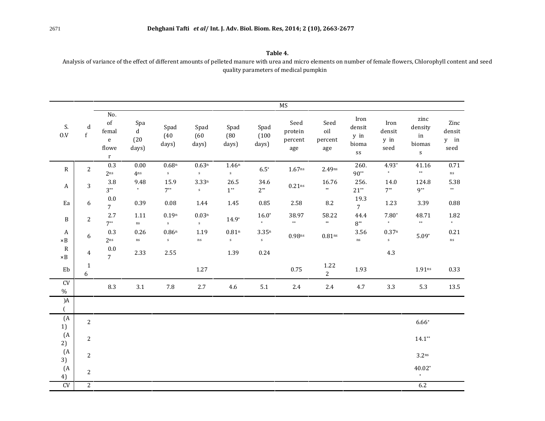Table 4.<br>Table 4.<br>of variance of the effect of different amounts of pelleted manure with urea and micro elements on number of female flowers. Chlorophyll content and seed **Table 4.**<br>nure with urea and micro elements on nure<br>parameters of medical pumpkin

|                           |                   |                                                                |                                     |                                  |                         |                                   |                                  | MS                                |                               |                                       |                                |                                              |                                |
|---------------------------|-------------------|----------------------------------------------------------------|-------------------------------------|----------------------------------|-------------------------|-----------------------------------|----------------------------------|-----------------------------------|-------------------------------|---------------------------------------|--------------------------------|----------------------------------------------|--------------------------------|
| S.<br>0.V                 | $\mathbf d$<br>f  | No.<br>of<br>femal<br>$\mathbf{e}$<br>flowe<br>$r_{\parallel}$ | Spa<br>$\mathbf d$<br>(20)<br>days) | Spad<br>(40)<br>days)            | Spad<br>(60)<br>days)   | Spad<br>(80)<br>days)             | Spad<br>(100)<br>days)           | Seed<br>protein<br>percent<br>age | Seed<br>oil<br>percent<br>age | Iron<br>densit<br>y in<br>bioma<br>SS | Iron<br>densit<br>y in<br>seed | zinc<br>density<br>in<br>biomas<br>${\bf S}$ | Zinc<br>densit<br>y in<br>seed |
| R                         | $\mathbf{2}$      | 0.3<br>2 <sub>ns</sub>                                         | 0.00<br>Ans                         | 0.68 <sup>n</sup><br>$\mathbf S$ | $0.63^n$<br>$\mathbf S$ | 1.46 <sup>n</sup><br>$\mathbf{s}$ | $6.5*$                           | $1.67$ <sup>ns</sup>              | 2.49ns                        | 260.<br>$90**$                        | $4.93*$<br>$\ast$              | 41.16<br>$\ast\ast$                          | 0.71<br>$\mathrm{ns}$          |
| A                         | $\sqrt{3}$        | 3.8<br>$3^{**}$                                                | 9.48<br>$*$                         | 15.9<br>$7^{**}$                 | $3.33^n$<br>$\mathbf S$ | 26.5<br>$1^{**}$                  | 34.6<br>$2^{**}$                 | $0.21$ ns                         | 16.76<br>$\ast\ast$           | 256.<br>$21**$                        | 14.0<br>$7^{**}$               | 124.8<br>$9**$                               | 5.38<br>$***$                  |
| Ea                        | 6                 | $0.0\,$<br>7 <sup>7</sup>                                      | 0.39                                | 0.08                             | 1.44                    | 1.45                              | 0.85                             | 2.58                              | $8.2\,$                       | 19.3<br>$\overline{7}$                | 1.23                           | 3.39                                         | 0.88                           |
| $\mathbf{B}$              | $\mathbf{2}$      | 2.7<br>$7**$                                                   | 1.11<br>$\rm ns$                    | $0.19^n$<br>S                    | $0.03^n$<br>${\bf S}$   | $14.9*$                           | $16.0*$<br>$*$                   | 38.97<br>$**$                     | 58.22<br>$\ast\ast$           | 44.4<br>$8^{**}$                      | $7.80*$<br>$\ast$              | 48.71<br>$***$                               | 1.82<br>$\ast$                 |
| A<br>$\times \mathbf{B}$  | 6                 | 0.3<br>2 <sub>ns</sub>                                         | 0.26<br>$\rm ns$                    | 0.86n<br>S                       | 1.19<br>$\rm ns$        | 0.81 <sup>n</sup><br>S            | 3.35 <sup>n</sup><br>$\mathbf S$ | $0.98$ ns                         | 0.81 <sup>ns</sup>            | 3.56<br>$\rm ns$                      | 0.37 <sup>n</sup><br>S         | $5.09*$                                      | 0.21<br>ns                     |
| $\mathbf R$<br>$\times B$ | $\overline{4}$    | $0.0\,$<br>$\overline{7}$                                      | 2.33                                | 2.55                             |                         | 1.39                              | 0.24                             |                                   |                               |                                       | 4.3                            |                                              |                                |
| Eb                        | $\mathbf{1}$<br>6 |                                                                |                                     |                                  | 1.27                    |                                   |                                  | 0.75                              | 1.22<br>$2^{\circ}$           | 1.93                                  |                                | 1.91 <sub>ns</sub>                           | 0.33                           |
| ${\rm CV}$<br>$\%$        |                   | 8.3                                                            | 3.1                                 | 7.8                              | $2.7\,$                 | 4.6                               | 5.1                              | $2.4\,$                           | $2.4\,$                       | 4.7                                   | 3.3                            | 5.3                                          | 13.5                           |
| $)$ A<br>$\left($         |                   |                                                                |                                     |                                  |                         |                                   |                                  |                                   |                               |                                       |                                |                                              |                                |
| (A)<br>1)                 | $\overline{2}$    |                                                                |                                     |                                  |                         |                                   |                                  |                                   |                               |                                       |                                | $6.66*$                                      |                                |
| (A)<br>2)                 | 2                 |                                                                |                                     |                                  |                         |                                   |                                  |                                   |                               |                                       |                                | $14.1**$                                     |                                |
| (A<br>3)                  | $\overline{2}$    |                                                                |                                     |                                  |                         |                                   |                                  |                                   |                               |                                       |                                | 3.2 <sup>ns</sup>                            |                                |
| (A<br>4)                  | $\mathbf{2}$      |                                                                |                                     |                                  |                         |                                   |                                  |                                   |                               |                                       |                                | $40.02*$<br>$\ast$                           |                                |
| CV                        | $\mathbf{2}$      |                                                                |                                     |                                  |                         |                                   |                                  |                                   |                               |                                       |                                | 6.2                                          |                                |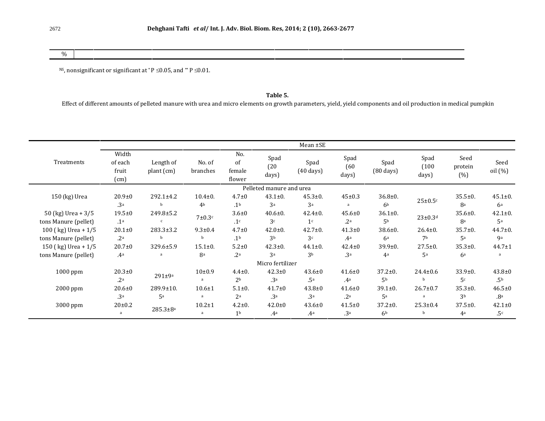$\%$ 

 $\begin{aligned} \text{nonsignificant or significant at } ^* \text{P } \leq & 0.05 \text{, and } ^* \text{P } \leq & 0.01. \end{aligned}$  $\sigma$ , honsignificant or significant at  $P \le 0.05$ , and  $P \le 0.01$ .

**Table 5.**<br>Effect of different amounts of pelleted manure with urea and micro elements on growth parameters, yield, yield components and oil production in medical pumpkin

|                                              |                                   |                           |                               |                                |                                 | Mean ±SE                        |                                 |                                 |                        |                                 |                                 |
|----------------------------------------------|-----------------------------------|---------------------------|-------------------------------|--------------------------------|---------------------------------|---------------------------------|---------------------------------|---------------------------------|------------------------|---------------------------------|---------------------------------|
| Treatments                                   | Width<br>of each<br>fruit<br>(cm) | Length of<br>plant (cm)   | No. of<br>branches            | No.<br>of<br>female<br>flower  | Spad<br>(20)<br>days)           | Spad<br>$(40 \text{ days})$     | Spad<br>(60)<br>days)           | Spad<br>$(80 \text{ days})$     | Spad<br>(100)<br>days) | Seed<br>protein<br>(% )         | Seed<br>oil (%)                 |
|                                              |                                   |                           |                               |                                | Pelleted manure and urea        |                                 |                                 |                                 |                        |                                 |                                 |
| 150 (kg) Urea                                | $20.9 + 0$<br>.3 <sup>a</sup>     | 292.1±4.2<br>b            | $10.4 + 0.$<br>4 <sup>b</sup> | $4.7 \pm 0$<br>.1 <sup>b</sup> | $43.1 \pm 0.$<br>3a             | $45.3 \pm 0.$<br>3 <sup>a</sup> | $45 \pm 0.3$<br>a               | $36.8 \pm 0.$<br>6 <sup>b</sup> | $25 \pm 0.5$ c         | $35.5 \pm 0.$<br>8a             | $45.1 \pm 0.$<br>6 <sup>a</sup> |
| 50 (kg) Urea + $3/5$<br>tons Manure (pellet) | $19.5 \pm 0$<br>.1 <sup>a</sup>   | 249.8±5.2<br>$\mathbf{c}$ | $7\pm0.3c$                    | $3.6 + 0$<br>.1 <sup>c</sup>   | $40.6 \pm 0.$<br>3c             | $42.4 \pm 0.$<br>1 <sup>c</sup> | $45.6 \pm 0$<br>.2a             | $36.1 \pm 0.$<br>5 <sub>b</sub> | $23 \pm 0.3$ d         | $35.6 \pm 0.$<br>8a             | $42.1 \pm 0.$<br>5a             |
| 100 (kg) Urea + $1/5$                        | $20.1 \pm 0$                      | $283.3 \pm 3.2$           | $9.3 \pm 0.4$                 | $4.7 \pm 0$                    | $42.0 \pm 0.$                   | $42.7 \pm 0.$                   | $41.3 \pm 0$                    | $38.6 \pm 0.$                   | $26.4 \pm 0.$          | $35.7 \pm 0.$                   | $44.7 \pm 0.$                   |
| tons Manure (pellet)                         | .2 <sup>a</sup>                   | h                         | b                             | .1 <sup>b</sup>                | 3b                              | 3c                              | .4a                             | 6a                              | 7 <sub>b</sub>         | <u>Ҕ</u> а                      | <b>g</b> <sub>a</sub>           |
| 150 (kg) Urea + $1/5$                        | $20.7 \pm 0$                      | 329.6±5.9                 | $15.1 \pm 0.$                 | $5.2 \pm 0$                    | $42.3 \pm 0.$                   | $44.1 \pm 0.$                   | $42.4 \pm 0$                    | $39.9 \pm 0.$                   | $27.5 \pm 0.$          | $35.3 \pm 0.$                   | $44.7 \pm 1$                    |
| tons Manure (pellet)                         | .4 <sup>a</sup>                   | a                         | 8 <sup>a</sup>                | .2 <sup>a</sup>                | 3a                              | 3 <sup>b</sup>                  | .3 <sup>a</sup>                 | 4 <sup>a</sup>                  | 5 <sup>a</sup>         | 6 <sup>a</sup>                  | a                               |
|                                              |                                   |                           |                               |                                | Micro fertilizer                |                                 |                                 |                                 |                        |                                 |                                 |
| 1000 ppm                                     | $20.3 \pm 0$<br>2 <sup>a</sup>    | $291 \pm 9a$              | $10\pm0.9$<br>a               | $4.4 \pm 0.$<br>2 <sub>b</sub> | $42.3 \pm 0$<br>.3 <sup>a</sup> | $43.6 \pm 0$<br>.5a             | $41.6 \pm 0$<br>.4a             | $37.2 \pm 0.$<br>5 <sup>b</sup> | $24.4 \pm 0.6$<br>b    | $33.9 \pm 0.$<br>5c             | $43.8 \pm 0$<br>.5 <sub>b</sub> |
| 2000 ppm                                     | $20.6 + 0$                        | $289.9 \pm 10.$           | $10.6 \pm 1$                  | $5.1 \pm 0.$                   | $41.7 \pm 0$                    | $43.8 \pm 0$                    | $41.6 \pm 0$                    | $39.1 \pm 0.$                   | $26.7 \pm 0.7$         | $35.3 \pm 0.$                   | $46.5 \pm 0$                    |
|                                              | .3 <sup>a</sup>                   | 5 <sup>a</sup>            | a                             | 2 <sup>a</sup>                 | .3 <sup>a</sup>                 | .3 <sup>a</sup>                 | .2 <sup>a</sup>                 | 5 <sup>a</sup>                  | $\overline{a}$         | 3 <sup>b</sup>                  | .8 <sup>a</sup>                 |
| 3000 ppm                                     | $20 \pm 0.2$<br>a                 | $285.3 \pm 8^a$           | $10.2 + 1$<br>a               | $4.2 \pm 0.$<br>1 <sup>b</sup> | $42.0 \pm 0$<br>.4 <sub>a</sub> | $43.6 \pm 0$<br>.4a             | $41.5 \pm 0$<br>.3 <sup>a</sup> | $37.2 \pm 0.$<br>6 <sup>b</sup> | $25.3 \pm 0.4$<br>b    | $37.5 \pm 0.$<br>4 <sup>a</sup> | $42.1 \pm 0$<br>.5 <sup>c</sup> |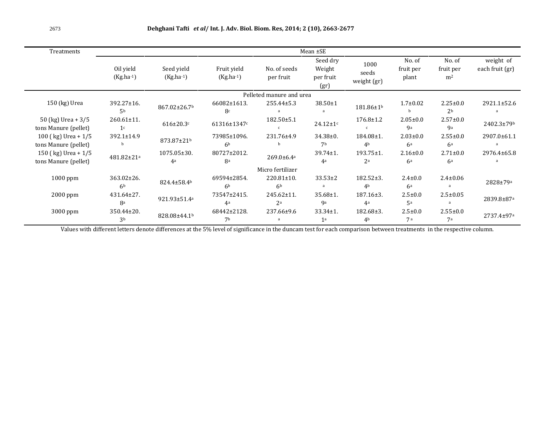| 2673                                          |                                    | Dehghani Tafti et al/ Int. J. Adv. Biol. Biom. Res, 2014; 2 (10), 2663-2677 |                               |                                    |                                         |                                   |                                  |                                         |                              |  |  |
|-----------------------------------------------|------------------------------------|-----------------------------------------------------------------------------|-------------------------------|------------------------------------|-----------------------------------------|-----------------------------------|----------------------------------|-----------------------------------------|------------------------------|--|--|
| Treatments                                    | $Mean \pm SE$                      |                                                                             |                               |                                    |                                         |                                   |                                  |                                         |                              |  |  |
|                                               | Oil yield<br>$(Kg.ha^{-1})$        | Seed yield<br>$(Kg.ha^{-1})$                                                | Fruit yield<br>$(Kg.ha^{-1})$ | No. of seeds<br>per fruit          | Seed dry<br>Weight<br>per fruit<br>(gr) | 1000<br>seeds<br>weight (gr)      | No. of<br>fruit per<br>plant     | No. of<br>fruit per<br>m <sup>2</sup>   | weight of<br>each fruit (gr) |  |  |
|                                               |                                    |                                                                             |                               | Pelleted manure and urea           |                                         |                                   |                                  |                                         |                              |  |  |
| 150 (kg) Urea                                 | 392.27±16.<br>5 <sup>b</sup>       | 867.02±26.7b                                                                | 66082±1613.<br>8c             | 255.44±5.3                         | $38.50 \pm 1$                           | 181.86±1b                         | $1.7 \pm 0.02$                   | $2.25 \pm 0.0$<br>2 <sub>b</sub>        | 2921.1±52.6<br>a             |  |  |
| 50 (kg) Urea + $3/5$<br>tons Manure (pellet)  | $260.61 \pm 11.$<br>1 <sup>c</sup> | $616 \pm 20.3$ c                                                            | 61316±1347c                   | $182.50 \pm 5.1$                   | $24.12 \pm 1$ c                         | $176.8 \pm 1.2$                   | $2.05 \pm 0.0$<br><b>9a</b>      | $2.57 \pm 0.0$<br><b>g</b> <sub>a</sub> | 2402.3±79b                   |  |  |
| 100 (kg) Urea + $1/5$<br>tons Manure (pellet) | 392.1±14.9                         | 873.87±21b                                                                  | 73985±1096.<br>6 <sup>b</sup> | 231.76±4.9                         | $34.38 \pm 0.$<br>7 <sub>b</sub>        | 184.08±1.<br>4 <sup>b</sup>       | $2.03 \pm 0.0$<br>6 <sup>a</sup> | $2.55 \pm 0.0$<br>6 <sup>a</sup>        | 2907.0±61.1                  |  |  |
| 150 (kg) Urea + $1/5$<br>tons Manure (pellet) | 481.82±21ª                         | $1075.05 \pm 30.$<br>4 <sup>a</sup>                                         | 80727±2012.<br>8a             | 269.0±6.4ª                         | $39.74 \pm 1$ .<br>4 <sup>a</sup>       | $193.75 \pm 1.$<br>2 <sup>a</sup> | $2.16 \pm 0.0$<br>6 <sup>a</sup> | $2.71 \pm 0.0$<br>6 <sup>a</sup>        | 2976.4±65.8<br>a             |  |  |
|                                               |                                    |                                                                             |                               | Micro fertilizer                   |                                         |                                   |                                  |                                         |                              |  |  |
| $1000$ ppm                                    | $363.02 \pm 26.$<br>6 <sup>b</sup> | 824.4±58.4b                                                                 | 69594±2854.<br>6 <sup>b</sup> | $220.81 \pm 10.$<br>6 <sup>b</sup> | $33.53 \pm 2$                           | 182.52±3.<br>4 <sup>b</sup>       | $2.4 \pm 0.0$<br>6 <sup>a</sup>  | $2.4 \pm 0.06$                          | 2828±79a                     |  |  |
| $2000$ ppm                                    | 431.64±27.<br>8a                   | 921.93±51.4ª                                                                | 73547±2415.<br>4a             | 245.62±11.<br>2a                   | $35.68 \pm 1.$<br><b>9a</b>             | $187.16 \pm 3.$<br>4a             | $2.5 \pm 0.0$<br>5a              | $2.5 \pm 0.05$                          | 2839.8±87ª                   |  |  |
| 3000 ppm                                      | 350.44±20.<br>3 <sub>b</sub>       | 828.08±44.1b                                                                | 68442±2128.<br>7b             | 237.66±9.6                         | $33.34 \pm 1.$<br>1 <sup>a</sup>        | $182.68 \pm 3.$<br>4 <sup>b</sup> | $2.5 \pm 0.0$<br>7a              | $2.55 \pm 0.0$<br>7а                    | 2737.4±97a                   |  |  |

Values with different letters denote differences at the 5% level of significance in the duncam test for each comparison between treatments in the respective column.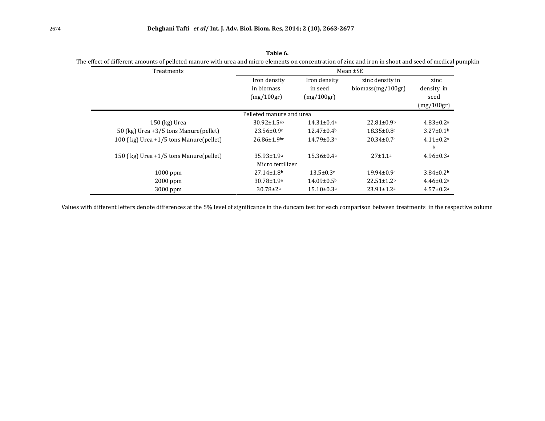| Treatments                               |                                          |                                       | Mean $\pm$ SE                           |                                          |
|------------------------------------------|------------------------------------------|---------------------------------------|-----------------------------------------|------------------------------------------|
|                                          | Iron density<br>in biomass<br>(mg/100gr) | Iron density<br>in seed<br>(mg/100gr) | zinc density in<br>biomass $(mg/100gr)$ | zinc<br>density in<br>seed<br>(mg/100gr) |
|                                          | Pelleted manure and urea                 |                                       |                                         |                                          |
| $150$ (kg) Urea                          | $30.92 \pm 1.5$ ab                       | $14.31 \pm 0.4^a$                     | $22.81 \pm 0.9$ <sup>b</sup>            | $4.83 \pm 0.2a$                          |
| 50 (kg) Urea $+3/5$ tons Manure(pellet)  | $23.56 \pm 0.9c$                         | $12.47 \pm 0.4$ <sup>b</sup>          | $18.35 \pm 0.8$ c                       | $3.27 \pm 0.1$ <sup>b</sup>              |
| 100 (kg) Urea $+1/5$ tons Manure(pellet) | $26.86 \pm 1.9$ bc                       | $14.79 \pm 0.3a$                      | $20.34 \pm 0.7c$                        | $4.11 \pm 0.2a$<br>b                     |
| 150 (kg) Urea +1/5 tons Manure(pellet)   | $35.93 \pm 1.9^a$<br>Micro fertilizer    | $15.36 \pm 0.4$ <sup>a</sup>          | $27 \pm 1.1a$                           | $4.96 \pm 0.3$ <sup>a</sup>              |
| $1000$ ppm                               | $27.14 \pm 1.8$ <sup>b</sup>             | $13.5 \pm 0.3c$                       | $19.94 \pm 0.9$ c                       | $3.84 \pm 0.2$                           |
| $2000$ ppm                               | $30.78 \pm 1.9^a$                        | $14.09 \pm 0.5^{\rm b}$               | $22.51 \pm 1.2^b$                       | $4.46 \pm 0.2$ <sup>a</sup>              |
| 3000 ppm                                 | $30.78 \pm 2a$                           | $15.10 \pm 0.3$ <sup>a</sup>          | $23.91 \pm 1.2$ <sup>a</sup>            | $4.57 \pm 0.2a$                          |

**1.** Dengham Taftler *et all* int. J. Adv. Biol. Biom. Kes, 2014; 2<br>Table 6. **Table 6.**<br>Table 6.<br>effect of different amounts of pelleted manure with urea and micro elements on concentration of zinc and iron in shoot and seed of medical pumpkin **Table 6.**<br>The with urea and micro elements on concentration of zinc and iron in s<br>Mean  $\pm$ SE

Values with different letters denote differences at the 5% level of significance in the duncam test for each comparison between treatments in the respective column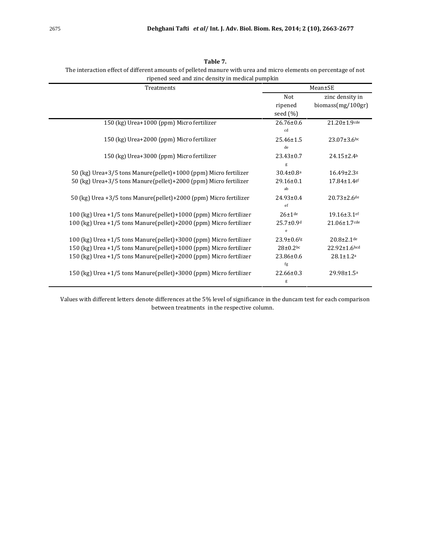| Treatments                                                         |                                  | Mean±SE                              |
|--------------------------------------------------------------------|----------------------------------|--------------------------------------|
|                                                                    | Not<br>ripened<br>seed (%)       | zinc density in<br>biomass(mg/100gr) |
| 150 (kg) Urea+1000 (ppm) Micro fertilizer                          | $26.76 \pm 0.6$<br>cd            | $21.20 \pm 1.9$ cde                  |
| 150 (kg) Urea+2000 (ppm) Micro fertilizer                          | 25.46±1.5<br>$_{\rm de}$         | 23.07±3.6bc                          |
| 150 (kg) Urea+3000 (ppm) Micro fertilizer                          | $23.43 \pm 0.7$<br>g             | $24.15 \pm 2.4$ <sup>b</sup>         |
| 50 (kg) Urea+3/5 tons Manure(pellet)+1000 (ppm) Micro fertilizer   | $30.4 \pm 0.8$ <sup>a</sup>      | 16.49±2.3g                           |
| 50 (kg) Urea+3/5 tons Manure(pellet)+2000 (ppm) Micro fertilizer   | 29.16±0.1<br>ab                  | 17.84±1.4gf                          |
| 50 (kg) Urea +3/5 tons Manure(pellet)+2000 (ppm) Micro fertilizer  | $24.93 \pm 0.4$<br>ef            | $20.73 \pm 2.6$ de                   |
| 100 (kg) Urea +1/5 tons Manure(pellet)+1000 (ppm) Micro fertilizer | $26 \pm 1$ de                    | 19.16±3.1ef                          |
| 100 (kg) Urea +1/5 tons Manure(pellet)+2000 (ppm) Micro fertilizer | $25.7 \pm 0.9$ d<br>$\mathbf{e}$ | 21.06±1.7cde                         |
| 100 (kg) Urea +1/5 tons Manure(pellet)+3000 (ppm) Micro fertilizer | 23.9±0.6fg                       | $20.8 \pm 2.1$ de                    |
| 150 (kg) Urea +1/5 tons Manure(pellet)+1000 (ppm) Micro fertilizer | $28\pm0.2$ bc                    | 22.92±1.6bcd                         |
| 150 (kg) Urea +1/5 tons Manure(pellet)+2000 (ppm) Micro fertilizer | 23.86±0.6<br>fg                  | $28.1 \pm 1.2$ <sup>a</sup>          |
| 150 (kg) Urea +1/5 tons Manure(pellet)+3000 (ppm) Micro fertilizer | 22.66±0.3<br>g                   | 29.98±1.5 <sup>a</sup>               |

| Table 7.                                                                                                         |         |  |  |  |  |  |
|------------------------------------------------------------------------------------------------------------------|---------|--|--|--|--|--|
| The interaction effect of different amounts of pelleted manure with urea and micro elements on percentage of not |         |  |  |  |  |  |
| ripened seed and zinc density in medical pumpkin                                                                 |         |  |  |  |  |  |
| Freatments                                                                                                       | Mean±SE |  |  |  |  |  |

the 5% level of significance in the 5% level of significance in the respective column.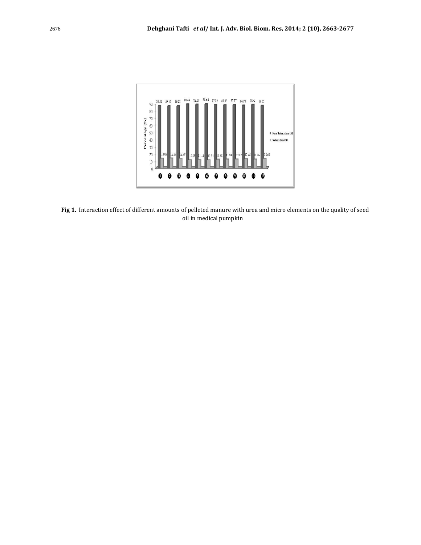

elleted manure with<br>in medical pumpkin